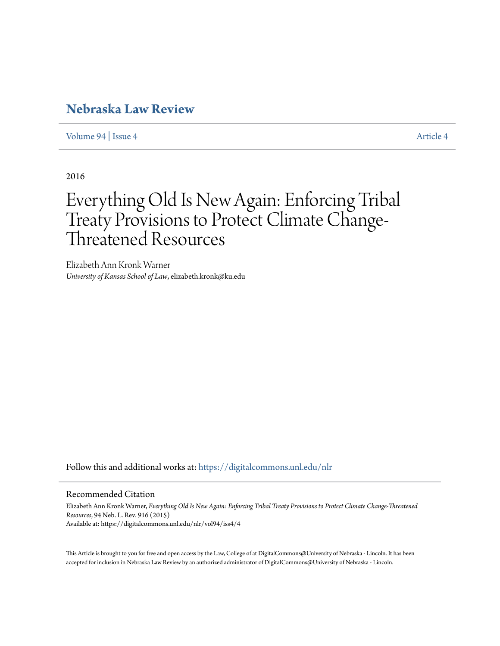# **[Nebraska Law Review](https://digitalcommons.unl.edu/nlr?utm_source=digitalcommons.unl.edu%2Fnlr%2Fvol94%2Fiss4%2F4&utm_medium=PDF&utm_campaign=PDFCoverPages)**

[Volume 94](https://digitalcommons.unl.edu/nlr/vol94?utm_source=digitalcommons.unl.edu%2Fnlr%2Fvol94%2Fiss4%2F4&utm_medium=PDF&utm_campaign=PDFCoverPages) | [Issue 4](https://digitalcommons.unl.edu/nlr/vol94/iss4?utm_source=digitalcommons.unl.edu%2Fnlr%2Fvol94%2Fiss4%2F4&utm_medium=PDF&utm_campaign=PDFCoverPages) [Article 4](https://digitalcommons.unl.edu/nlr/vol94/iss4/4?utm_source=digitalcommons.unl.edu%2Fnlr%2Fvol94%2Fiss4%2F4&utm_medium=PDF&utm_campaign=PDFCoverPages)

2016

# Everything Old Is New Again: Enforcing Tribal Treaty Provisions to Protect Climate Change-Threatened Resources

Elizabeth Ann Kronk Warner *University of Kansas School of Law*, elizabeth.kronk@ku.edu

Follow this and additional works at: [https://digitalcommons.unl.edu/nlr](https://digitalcommons.unl.edu/nlr?utm_source=digitalcommons.unl.edu%2Fnlr%2Fvol94%2Fiss4%2F4&utm_medium=PDF&utm_campaign=PDFCoverPages)

# Recommended Citation

Elizabeth Ann Kronk Warner, *Everything Old Is New Again: Enforcing Tribal Treaty Provisions to Protect Climate Change-Threatened Resources*, 94 Neb. L. Rev. 916 (2015) Available at: https://digitalcommons.unl.edu/nlr/vol94/iss4/4

This Article is brought to you for free and open access by the Law, College of at DigitalCommons@University of Nebraska - Lincoln. It has been accepted for inclusion in Nebraska Law Review by an authorized administrator of DigitalCommons@University of Nebraska - Lincoln.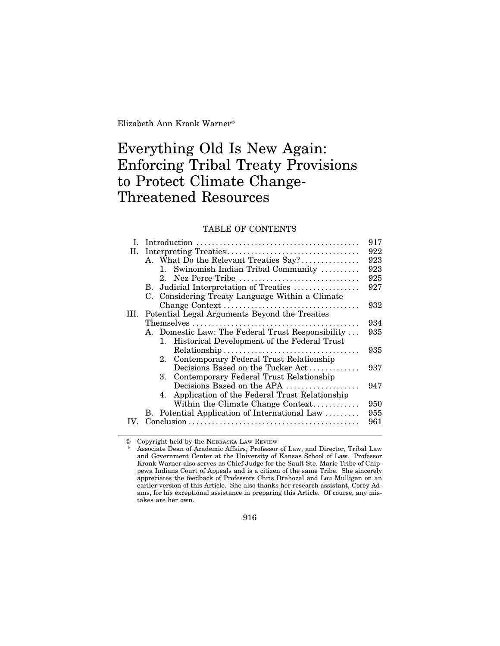Elizabeth Ann Kronk Warner\*

# Everything Old Is New Again: Enforcing Tribal Treaty Provisions to Protect Climate Change-Threatened Resources

# TABLE OF CONTENTS

|     |                                                                                               | 917 |
|-----|-----------------------------------------------------------------------------------------------|-----|
| II. |                                                                                               | 922 |
|     | A. What Do the Relevant Treaties Say?                                                         | 923 |
|     | 1. Swinomish Indian Tribal Community                                                          | 923 |
|     | 2. Nez Perce Tribe                                                                            | 925 |
|     | B. Judicial Interpretation of Treaties                                                        | 927 |
|     | C. Considering Treaty Language Within a Climate                                               |     |
|     |                                                                                               | 932 |
| Ш.  | Potential Legal Arguments Beyond the Treaties                                                 |     |
|     | Themselves $\dots\dots\dots\dots\dots\dots\dots\dots\dots\dots\dots\dots\dots\dots\dots\dots$ | 934 |
|     | A. Domestic Law: The Federal Trust Responsibility                                             | 935 |
|     | 1. Historical Development of the Federal Trust                                                |     |
|     |                                                                                               | 935 |
|     | 2. Contemporary Federal Trust Relationship                                                    |     |
|     | Decisions Based on the Tucker Act                                                             | 937 |
|     | 3. Contemporary Federal Trust Relationship                                                    |     |
|     | Decisions Based on the APA                                                                    | 947 |
|     | Application of the Federal Trust Relationship<br>4.                                           |     |
|     | Within the Climate Change Context                                                             | 950 |
|     | B. Potential Application of International Law                                                 | 955 |
| IV. |                                                                                               | 961 |
|     |                                                                                               |     |

© Copyright held by the NEBRASKA LAW REVIEW

916

Associate Dean of Academic Affairs, Professor of Law, and Director, Tribal Law and Government Center at the University of Kansas School of Law. Professor Kronk Warner also serves as Chief Judge for the Sault Ste. Marie Tribe of Chippewa Indians Court of Appeals and is a citizen of the same Tribe. She sincerely appreciates the feedback of Professors Chris Drahozal and Lou Mulligan on an earlier version of this Article. She also thanks her research assistant, Corey Adams, for his exceptional assistance in preparing this Article. Of course, any mistakes are her own.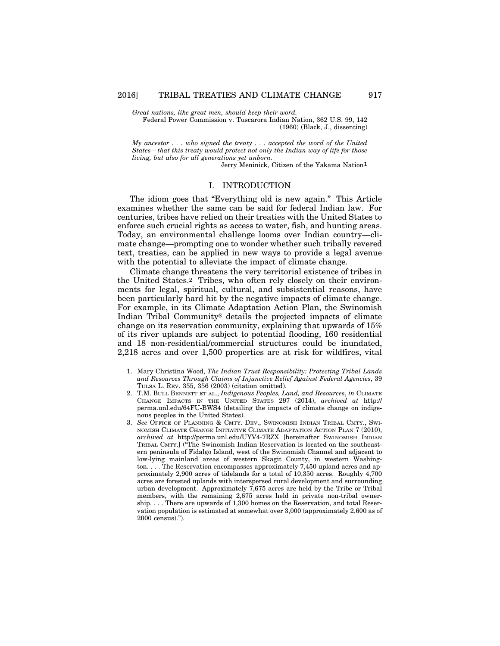*Great nations, like great men, should keep their word.*

Federal Power Commission v. Tuscarora Indian Nation, 362 U.S. 99, 142 (1960) (Black, J., dissenting)

*My ancestor . . . who signed the treaty . . . accepted the word of the United States—that this treaty would protect not only the Indian way of life for those living, but also for all generations yet unborn.*

Jerry Meninick, Citizen of the Yakama Nation1

#### I. INTRODUCTION

The idiom goes that "Everything old is new again." This Article examines whether the same can be said for federal Indian law. For centuries, tribes have relied on their treaties with the United States to enforce such crucial rights as access to water, fish, and hunting areas. Today, an environmental challenge looms over Indian country—climate change—prompting one to wonder whether such tribally revered text, treaties, can be applied in new ways to provide a legal avenue with the potential to alleviate the impact of climate change.

Climate change threatens the very territorial existence of tribes in the United States.2 Tribes, who often rely closely on their environments for legal, spiritual, cultural, and subsistential reasons, have been particularly hard hit by the negative impacts of climate change. For example, in its Climate Adaptation Action Plan, the Swinomish Indian Tribal Community3 details the projected impacts of climate change on its reservation community, explaining that upwards of 15% of its river uplands are subject to potential flooding, 160 residential and 18 non-residential/commercial structures could be inundated, 2,218 acres and over 1,500 properties are at risk for wildfires, vital

<sup>1.</sup> Mary Christina Wood, *The Indian Trust Responsibility: Protecting Tribal Lands and Resources Through Claims of Injunctive Relief Against Federal Agencies*, 39 TULSA L. REV. 355, 356 (2003) (citation omitted).

<sup>2.</sup> T.M. BULL BENNETT ET AL., *Indigenous Peoples, Land, and Resources*, *in* CLIMATE CHANGE IMPACTS IN THE UNITED STATES 297 (2014), *archived at* http:// perma.unl.edu/64FU-BWS4 (detailing the impacts of climate change on indigenous peoples in the United States).

<sup>3.</sup> *See* OFFICE OF PLANNING & CMTY. DEV., SWINOMISH INDIAN TRIBAL CMTY., SWI-NOMISH CLIMATE CHANGE INITIATIVE CLIMATE ADAPTATION ACTION PLAN 7 (2010), *archived at* http://perma.unl.edu/UYV4-7RZX [hereinafter SWINOMISH INDIAN TRIBAL CMTY.] ("The Swinomish Indian Reservation is located on the southeastern peninsula of Fidalgo Island, west of the Swinomish Channel and adjacent to low-lying mainland areas of western Skagit County, in western Washington. . . . The Reservation encompasses approximately 7,450 upland acres and approximately 2,900 acres of tidelands for a total of 10,350 acres. Roughly 4,700 acres are forested uplands with interspersed rural development and surrounding urban development. Approximately  $7,675$  acres are held by the Tribe or Tribal members, with the remaining 2,675 acres held in private non-tribal ownership. . . . There are upwards of 1,300 homes on the Reservation, and total Reservation population is estimated at somewhat over 3,000 (approximately 2,600 as of 2000 census).").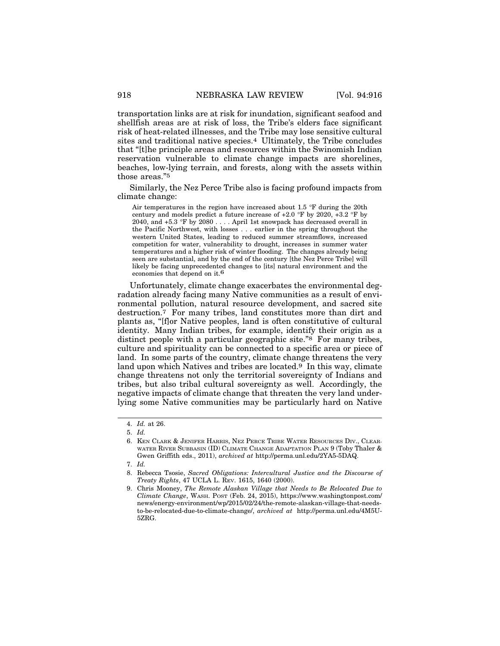transportation links are at risk for inundation, significant seafood and shellfish areas are at risk of loss, the Tribe's elders face significant risk of heat-related illnesses, and the Tribe may lose sensitive cultural sites and traditional native species.4 Ultimately, the Tribe concludes that "[t]he principle areas and resources within the Swinomish Indian reservation vulnerable to climate change impacts are shorelines, beaches, low-lying terrain, and forests, along with the assets within those areas."5

Similarly, the Nez Perce Tribe also is facing profound impacts from climate change:

Air temperatures in the region have increased about 1.5 °F during the 20th century and models predict a future increase of  $+2.0$  °F by 2020,  $+3.2$  °F by 2040, and  $+5.3$  °F by 2080 . . . . April 1st snowpack has decreased overall in the Pacific Northwest, with losses . . . earlier in the spring throughout the western United States, leading to reduced summer streamflows, increased competition for water, vulnerability to drought, increases in summer water temperatures and a higher risk of winter flooding. The changes already being seen are substantial, and by the end of the century [the Nez Perce Tribe] will likely be facing unprecedented changes to [its] natural environment and the economies that depend on it.6

Unfortunately, climate change exacerbates the environmental degradation already facing many Native communities as a result of environmental pollution, natural resource development, and sacred site destruction.7 For many tribes, land constitutes more than dirt and plants as, "[f]or Native peoples, land is often constitutive of cultural identity. Many Indian tribes, for example, identify their origin as a distinct people with a particular geographic site."<sup>8</sup> For many tribes, culture and spirituality can be connected to a specific area or piece of land. In some parts of the country, climate change threatens the very land upon which Natives and tribes are located.<sup>9</sup> In this way, climate change threatens not only the territorial sovereignty of Indians and tribes, but also tribal cultural sovereignty as well. Accordingly, the negative impacts of climate change that threaten the very land underlying some Native communities may be particularly hard on Native

<sup>4.</sup> *Id.* at 26.

<sup>5.</sup> *Id.*

<sup>6.</sup> KEN CLARK & JENIFER HARRIS, NEZ PERCE TRIBE WATER RESOURCES DIV., CLEAR-WATER RIVER SUBBASIN (ID) CLIMATE CHANGE ADAPTATION PLAN 9 (Toby Thaler & Gwen Griffith eds., 2011), *archived at* http://perma.unl.edu/2YA5-5DAQ.

<sup>7.</sup> *Id.*

<sup>8.</sup> Rebecca Tsosie, *Sacred Obligations: Intercultural Justice and the Discourse of Treaty Rights*, 47 UCLA L. REV. 1615, 1640 (2000).

<sup>9.</sup> Chris Mooney, *The Remote Alaskan Village that Needs to Be Relocated Due to Climate Change*, WASH. POST (Feb. 24, 2015), https://www.washingtonpost.com/ news/energy-environment/wp/2015/02/24/the-remote-alaskan-village-that-needsto-be-relocated-due-to-climate-change/, *archived at* http://perma.unl.edu/4M5U-5ZRG.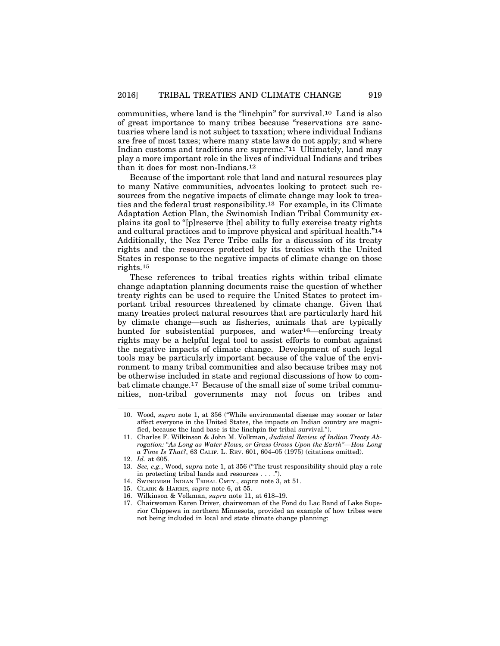communities, where land is the "linchpin" for survival.10 Land is also of great importance to many tribes because "reservations are sanctuaries where land is not subject to taxation; where individual Indians are free of most taxes; where many state laws do not apply; and where Indian customs and traditions are supreme."<sup>11</sup> Ultimately, land may play a more important role in the lives of individual Indians and tribes than it does for most non-Indians.12

Because of the important role that land and natural resources play to many Native communities, advocates looking to protect such resources from the negative impacts of climate change may look to treaties and the federal trust responsibility.13 For example, in its Climate Adaptation Action Plan, the Swinomish Indian Tribal Community explains its goal to "[p]reserve [the] ability to fully exercise treaty rights and cultural practices and to improve physical and spiritual health."14 Additionally, the Nez Perce Tribe calls for a discussion of its treaty rights and the resources protected by its treaties with the United States in response to the negative impacts of climate change on those rights.15

These references to tribal treaties rights within tribal climate change adaptation planning documents raise the question of whether treaty rights can be used to require the United States to protect important tribal resources threatened by climate change. Given that many treaties protect natural resources that are particularly hard hit by climate change—such as fisheries, animals that are typically hunted for subsistential purposes, and water<sup>16</sup>—enforcing treaty rights may be a helpful legal tool to assist efforts to combat against the negative impacts of climate change. Development of such legal tools may be particularly important because of the value of the environment to many tribal communities and also because tribes may not be otherwise included in state and regional discussions of how to combat climate change.17 Because of the small size of some tribal communities, non-tribal governments may not focus on tribes and

- 13. *See, e.g.*, Wood, *supra* note 1, at 356 ("The trust responsibility should play a role in protecting tribal lands and resources . . . .").
- 14. SWINOMISH INDIAN TRIBAL CMTY., *supra* note 3, at 51.
- 15. CLARK & HARRIS, *supra* note 6, at 55.
- 16. Wilkinson & Volkman, *supra* note 11, at 618–19.
- 17. Chairwoman Karen Driver, chairwoman of the Fond du Lac Band of Lake Superior Chippewa in northern Minnesota, provided an example of how tribes were not being included in local and state climate change planning:

<sup>10.</sup> Wood, *supra* note 1, at 356 ("While environmental disease may sooner or later affect everyone in the United States, the impacts on Indian country are magnified, because the land base is the linchpin for tribal survival.").

<sup>11.</sup> Charles F. Wilkinson & John M. Volkman, *Judicial Review of Indian Treaty Abrogation: "As Long as Water Flows, or Grass Grows Upon the Earth"—How Long a Time Is That?*, 63 CALIF. L. REV. 601, 604–05 (1975) (citations omitted).

<sup>12.</sup> *Id.* at 605.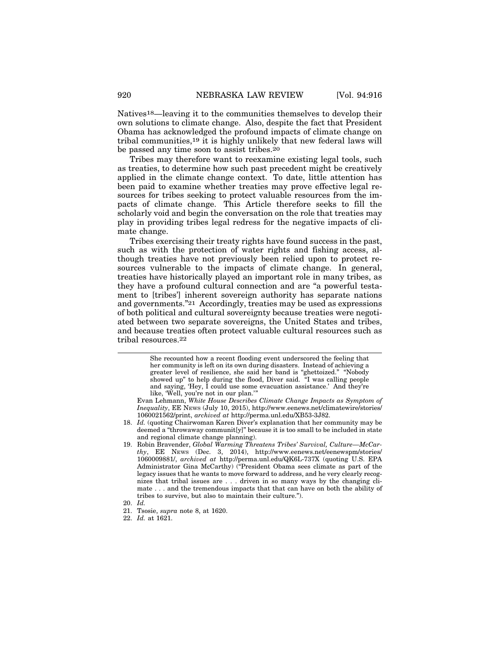Natives18—leaving it to the communities themselves to develop their own solutions to climate change. Also, despite the fact that President Obama has acknowledged the profound impacts of climate change on tribal communities,19 it is highly unlikely that new federal laws will be passed any time soon to assist tribes.20

Tribes may therefore want to reexamine existing legal tools, such as treaties, to determine how such past precedent might be creatively applied in the climate change context. To date, little attention has been paid to examine whether treaties may prove effective legal resources for tribes seeking to protect valuable resources from the impacts of climate change. This Article therefore seeks to fill the scholarly void and begin the conversation on the role that treaties may play in providing tribes legal redress for the negative impacts of climate change.

Tribes exercising their treaty rights have found success in the past, such as with the protection of water rights and fishing access, although treaties have not previously been relied upon to protect resources vulnerable to the impacts of climate change. In general, treaties have historically played an important role in many tribes, as they have a profound cultural connection and are "a powerful testament to [tribes'] inherent sovereign authority has separate nations and governments."21 Accordingly, treaties may be used as expressions of both political and cultural sovereignty because treaties were negotiated between two separate sovereigns, the United States and tribes, and because treaties often protect valuable cultural resources such as tribal resources.22

- 19. Robin Bravender, *Global Warming Threatens Tribes' Survival, Culture—McCarthy*, EE NEWS (Dec. 3, 2014), http://www.eenews.net/eenewspm/stories/ 1060009881/, *archived at* http://perma.unl.edu/QK6L-737X (quoting U.S. EPA Administrator Gina McCarthy) ("President Obama sees climate as part of the legacy issues that he wants to move forward to address, and he very clearly recognizes that tribal issues are . . . driven in so many ways by the changing climate . . . and the tremendous impacts that that can have on both the ability of tribes to survive, but also to maintain their culture.").
- 20. *Id.*

She recounted how a recent flooding event underscored the feeling that her community is left on its own during disasters. Instead of achieving a greater level of resilience, she said her band is "ghettoized." "Nobody showed up" to help during the flood, Diver said. "I was calling people and saying, 'Hey, I could use some evacuation assistance.' And they're like, 'Well, you're not in our plan.'

Evan Lehmann, *White House Describes Climate Change Impacts as Symptom of Inequality*, EE NEWS (July 10, 2015), http://www.eenews.net/climatewire/stories/ 1060021562/print, *archived at* http://perma.unl.edu/XB53-3J82.

<sup>18.</sup> *Id.* (quoting Chairwoman Karen Diver's explanation that her community may be deemed a "throwaway communit[y]" because it is too small to be included in state and regional climate change planning).

<sup>21.</sup> Tsosie, *supra* note 8, at 1620.

<sup>22.</sup> *Id.* at 1621.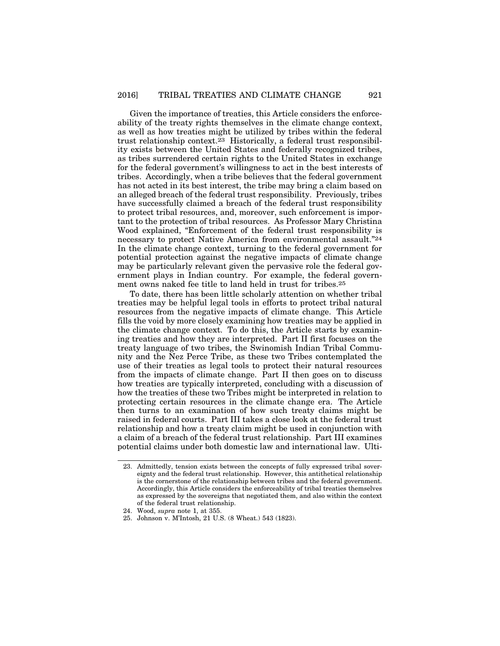Given the importance of treaties, this Article considers the enforceability of the treaty rights themselves in the climate change context, as well as how treaties might be utilized by tribes within the federal trust relationship context.23 Historically, a federal trust responsibility exists between the United States and federally recognized tribes, as tribes surrendered certain rights to the United States in exchange for the federal government's willingness to act in the best interests of tribes. Accordingly, when a tribe believes that the federal government has not acted in its best interest, the tribe may bring a claim based on an alleged breach of the federal trust responsibility. Previously, tribes have successfully claimed a breach of the federal trust responsibility to protect tribal resources, and, moreover, such enforcement is important to the protection of tribal resources. As Professor Mary Christina Wood explained, "Enforcement of the federal trust responsibility is necessary to protect Native America from environmental assault."24 In the climate change context, turning to the federal government for potential protection against the negative impacts of climate change may be particularly relevant given the pervasive role the federal government plays in Indian country. For example, the federal government owns naked fee title to land held in trust for tribes.25

To date, there has been little scholarly attention on whether tribal treaties may be helpful legal tools in efforts to protect tribal natural resources from the negative impacts of climate change. This Article fills the void by more closely examining how treaties may be applied in the climate change context. To do this, the Article starts by examining treaties and how they are interpreted. Part II first focuses on the treaty language of two tribes, the Swinomish Indian Tribal Community and the Nez Perce Tribe, as these two Tribes contemplated the use of their treaties as legal tools to protect their natural resources from the impacts of climate change. Part II then goes on to discuss how treaties are typically interpreted, concluding with a discussion of how the treaties of these two Tribes might be interpreted in relation to protecting certain resources in the climate change era. The Article then turns to an examination of how such treaty claims might be raised in federal courts. Part III takes a close look at the federal trust relationship and how a treaty claim might be used in conjunction with a claim of a breach of the federal trust relationship. Part III examines potential claims under both domestic law and international law. Ulti-

<sup>23.</sup> Admittedly, tension exists between the concepts of fully expressed tribal sovereignty and the federal trust relationship. However, this antithetical relationship is the cornerstone of the relationship between tribes and the federal government. Accordingly, this Article considers the enforceability of tribal treaties themselves as expressed by the sovereigns that negotiated them, and also within the context of the federal trust relationship.

<sup>24.</sup> Wood, *supra* note 1, at 355.

<sup>25.</sup> Johnson v. M'Intosh, 21 U.S. (8 Wheat.) 543 (1823).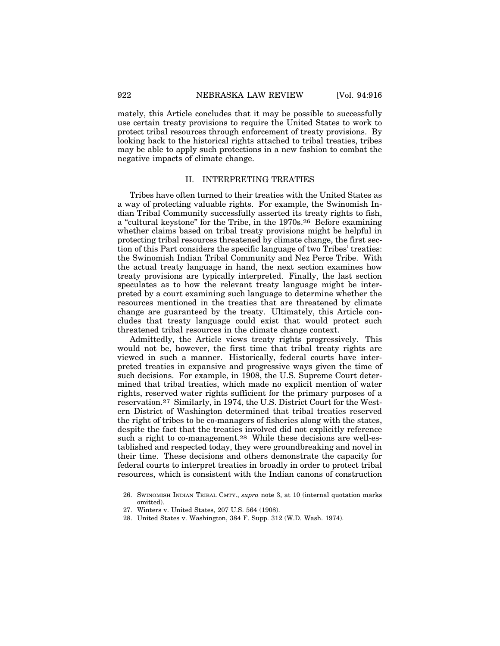mately, this Article concludes that it may be possible to successfully use certain treaty provisions to require the United States to work to protect tribal resources through enforcement of treaty provisions. By looking back to the historical rights attached to tribal treaties, tribes may be able to apply such protections in a new fashion to combat the negative impacts of climate change.

### II. INTERPRETING TREATIES

Tribes have often turned to their treaties with the United States as a way of protecting valuable rights. For example, the Swinomish Indian Tribal Community successfully asserted its treaty rights to fish, a "cultural keystone" for the Tribe, in the 1970s.26 Before examining whether claims based on tribal treaty provisions might be helpful in protecting tribal resources threatened by climate change, the first section of this Part considers the specific language of two Tribes' treaties: the Swinomish Indian Tribal Community and Nez Perce Tribe. With the actual treaty language in hand, the next section examines how treaty provisions are typically interpreted. Finally, the last section speculates as to how the relevant treaty language might be interpreted by a court examining such language to determine whether the resources mentioned in the treaties that are threatened by climate change are guaranteed by the treaty. Ultimately, this Article concludes that treaty language could exist that would protect such threatened tribal resources in the climate change context.

Admittedly, the Article views treaty rights progressively. This would not be, however, the first time that tribal treaty rights are viewed in such a manner. Historically, federal courts have interpreted treaties in expansive and progressive ways given the time of such decisions. For example, in 1908, the U.S. Supreme Court determined that tribal treaties, which made no explicit mention of water rights, reserved water rights sufficient for the primary purposes of a reservation.27 Similarly, in 1974, the U.S. District Court for the Western District of Washington determined that tribal treaties reserved the right of tribes to be co-managers of fisheries along with the states, despite the fact that the treaties involved did not explicitly reference such a right to co-management.<sup>28</sup> While these decisions are well-established and respected today, they were groundbreaking and novel in their time. These decisions and others demonstrate the capacity for federal courts to interpret treaties in broadly in order to protect tribal resources, which is consistent with the Indian canons of construction

<sup>26.</sup> SWINOMISH INDIAN TRIBAL CMTY., *supra* note 3, at 10 (internal quotation marks omitted).

<sup>27.</sup> Winters v. United States, 207 U.S. 564 (1908).

<sup>28.</sup> United States v. Washington, 384 F. Supp. 312 (W.D. Wash. 1974).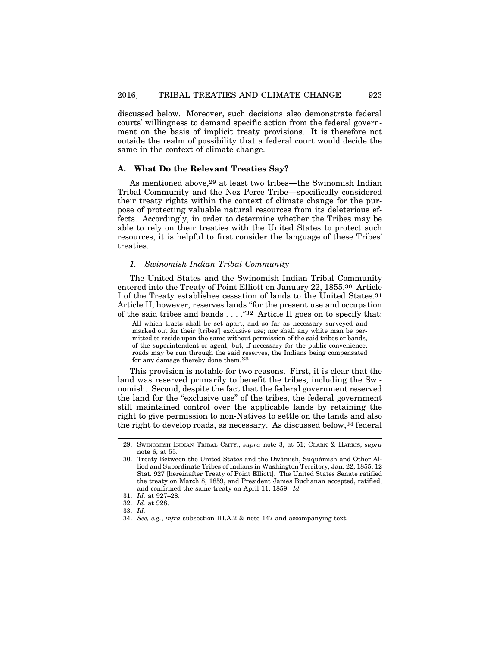discussed below. Moreover, such decisions also demonstrate federal courts' willingness to demand specific action from the federal government on the basis of implicit treaty provisions. It is therefore not outside the realm of possibility that a federal court would decide the same in the context of climate change.

#### **A. What Do the Relevant Treaties Say?**

As mentioned above,29 at least two tribes—the Swinomish Indian Tribal Community and the Nez Perce Tribe—specifically considered their treaty rights within the context of climate change for the purpose of protecting valuable natural resources from its deleterious effects. Accordingly, in order to determine whether the Tribes may be able to rely on their treaties with the United States to protect such resources, it is helpful to first consider the language of these Tribes' treaties.

#### *1. Swinomish Indian Tribal Community*

The United States and the Swinomish Indian Tribal Community entered into the Treaty of Point Elliott on January 22, 1855.30 Article I of the Treaty establishes cessation of lands to the United States.31 Article II, however, reserves lands "for the present use and occupation of the said tribes and bands  $\dots$ ."<sup>32</sup> Article II goes on to specify that:

All which tracts shall be set apart, and so far as necessary surveyed and marked out for their [tribes'] exclusive use; nor shall any white man be permitted to reside upon the same without permission of the said tribes or bands, of the superintendent or agent, but, if necessary for the public convenience, roads may be run through the said reserves, the Indians being compensated for any damage thereby done them.33

This provision is notable for two reasons. First, it is clear that the land was reserved primarily to benefit the tribes, including the Swinomish. Second, despite the fact that the federal government reserved the land for the "exclusive use" of the tribes, the federal government still maintained control over the applicable lands by retaining the right to give permission to non-Natives to settle on the lands and also the right to develop roads, as necessary. As discussed below,34 federal

<sup>29.</sup> SWINOMISH INDIAN TRIBAL CMTY., *supra* note 3, at 51; CLARK & HARRIS, *supra* note 6, at 55.

<sup>30.</sup> Treaty Between the United States and the Dwámish, Suquámish and Other Allied and Subordinate Tribes of Indians in Washington Territory, Jan. 22, 1855, 12 Stat. 927 [hereinafter Treaty of Point Elliott]. The United States Senate ratified the treaty on March 8, 1859, and President James Buchanan accepted, ratified, and confirmed the same treaty on April 11, 1859. *Id.*

<sup>31.</sup> *Id.* at 927–28.

<sup>32.</sup> *Id.* at 928.

<sup>33.</sup> *Id.*

<sup>34.</sup> *See, e.g.*, *infra* subsection III.A.2 & note 147 and accompanying text.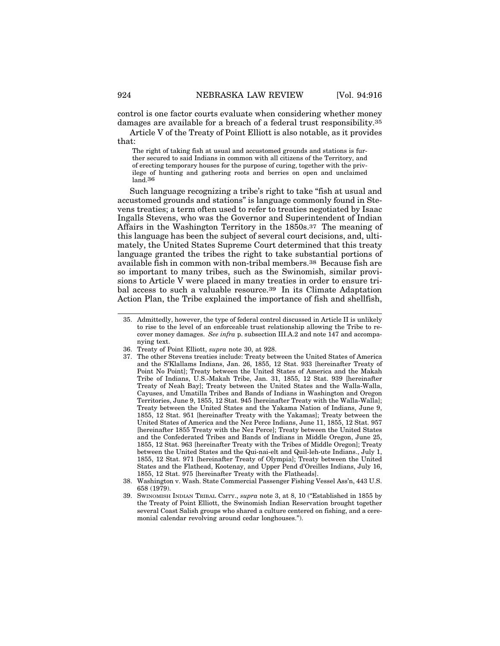control is one factor courts evaluate when considering whether money damages are available for a breach of a federal trust responsibility.35

Article V of the Treaty of Point Elliott is also notable, as it provides that:

The right of taking fish at usual and accustomed grounds and stations is further secured to said Indians in common with all citizens of the Territory, and of erecting temporary houses for the purpose of curing, together with the privilege of hunting and gathering roots and berries on open and unclaimed land.36

Such language recognizing a tribe's right to take "fish at usual and accustomed grounds and stations" is language commonly found in Stevens treaties; a term often used to refer to treaties negotiated by Isaac Ingalls Stevens, who was the Governor and Superintendent of Indian Affairs in the Washington Territory in the 1850s.37 The meaning of this language has been the subject of several court decisions, and, ultimately, the United States Supreme Court determined that this treaty language granted the tribes the right to take substantial portions of available fish in common with non-tribal members.38 Because fish are so important to many tribes, such as the Swinomish, similar provisions to Article V were placed in many treaties in order to ensure tribal access to such a valuable resource.39 In its Climate Adaptation Action Plan, the Tribe explained the importance of fish and shellfish,

- 37. The other Stevens treaties include: Treaty between the United States of America and the S'Klallams Indians, Jan. 26, 1855, 12 Stat. 933 [hereinafter Treaty of Point No Point]; Treaty between the United States of America and the Makah Tribe of Indians, U.S.-Makah Tribe, Jan. 31, 1855, 12 Stat. 939 [hereinafter Treaty of Neah Bay]; Treaty between the United States and the Walla-Walla, Cayuses, and Umatilla Tribes and Bands of Indians in Washington and Oregon Territories, June 9, 1855, 12 Stat. 945 [hereinafter Treaty with the Walla-Walla]; Treaty between the United States and the Yakama Nation of Indians, June 9, 1855, 12 Stat. 951 [hereinafter Treaty with the Yakamas]; Treaty between the United States of America and the Nez Perce Indians, June 11, 1855, 12 Stat. 957 [hereinafter 1855 Treaty with the Nez Perce]; Treaty between the United States and the Confederated Tribes and Bands of Indians in Middle Oregon, June 25, 1855, 12 Stat. 963 [hereinafter Treaty with the Tribes of Middle Oregon]; Treaty between the United States and the Qui-nai-elt and Quil-leh-ute Indians., July 1, 1855, 12 Stat. 971 [hereinafter Treaty of Olympia]; Treaty between the United States and the Flathead, Kootenay, and Upper Pend d'Oreilles Indians, July 16, 1855, 12 Stat. 975 [hereinafter Treaty with the Flatheads].
- 38. Washington v. Wash. State Commercial Passenger Fishing Vessel Ass'n, 443 U.S. 658 (1979).
- 39. SWINOMISH INDIAN TRIBAL CMTY., *supra* note 3, at 8, 10 ("Established in 1855 by the Treaty of Point Elliott, the Swinomish Indian Reservation brought together several Coast Salish groups who shared a culture centered on fishing, and a ceremonial calendar revolving around cedar longhouses.").

<sup>35.</sup> Admittedly, however, the type of federal control discussed in Article II is unlikely to rise to the level of an enforceable trust relationship allowing the Tribe to recover money damages. *See infra* p. subsection III.A.2 and note 147 and accompanying text.

<sup>36.</sup> Treaty of Point Elliott, *supra* note 30, at 928.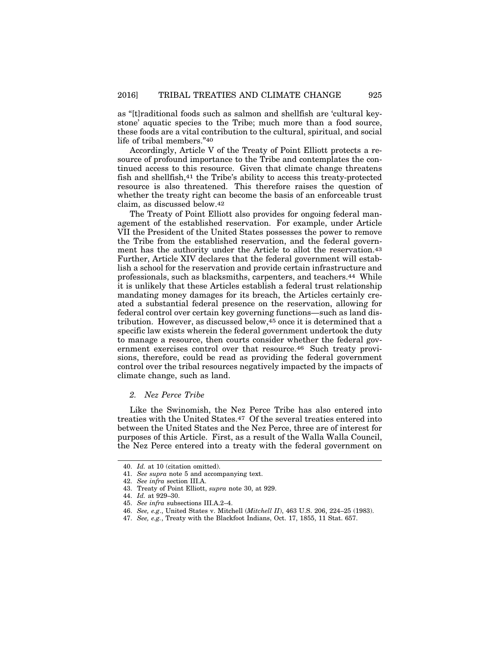as "[t]raditional foods such as salmon and shellfish are 'cultural keystone' aquatic species to the Tribe; much more than a food source, these foods are a vital contribution to the cultural, spiritual, and social life of tribal members."40

Accordingly, Article V of the Treaty of Point Elliott protects a resource of profound importance to the Tribe and contemplates the continued access to this resource. Given that climate change threatens fish and shellfish,41 the Tribe's ability to access this treaty-protected resource is also threatened. This therefore raises the question of whether the treaty right can become the basis of an enforceable trust claim, as discussed below.42

The Treaty of Point Elliott also provides for ongoing federal management of the established reservation. For example, under Article VII the President of the United States possesses the power to remove the Tribe from the established reservation, and the federal government has the authority under the Article to allot the reservation.43 Further, Article XIV declares that the federal government will establish a school for the reservation and provide certain infrastructure and professionals, such as blacksmiths, carpenters, and teachers.44 While it is unlikely that these Articles establish a federal trust relationship mandating money damages for its breach, the Articles certainly created a substantial federal presence on the reservation, allowing for federal control over certain key governing functions—such as land distribution. However, as discussed below,45 once it is determined that a specific law exists wherein the federal government undertook the duty to manage a resource, then courts consider whether the federal government exercises control over that resource.46 Such treaty provisions, therefore, could be read as providing the federal government control over the tribal resources negatively impacted by the impacts of climate change, such as land.

# *2. Nez Perce Tribe*

Like the Swinomish, the Nez Perce Tribe has also entered into treaties with the United States.47 Of the several treaties entered into between the United States and the Nez Perce, three are of interest for purposes of this Article. First, as a result of the Walla Walla Council, the Nez Perce entered into a treaty with the federal government on

<sup>40.</sup> *Id.* at 10 (citation omitted).

<sup>41.</sup> *See supra* note 5 and accompanying text.

<sup>42.</sup> *See infra* section III.A.

<sup>43.</sup> Treaty of Point Elliott, *supra* note 30, at 929.

<sup>44.</sup> *Id.* at 929–30.

<sup>45.</sup> *See infra* subsections III.A.2–4.

<sup>46.</sup> *See, e.g*., United States v. Mitchell (*Mitchell II*), 463 U.S. 206, 224–25 (1983).

<sup>47.</sup> *See, e.g.*, Treaty with the Blackfoot Indians, Oct. 17, 1855, 11 Stat. 657.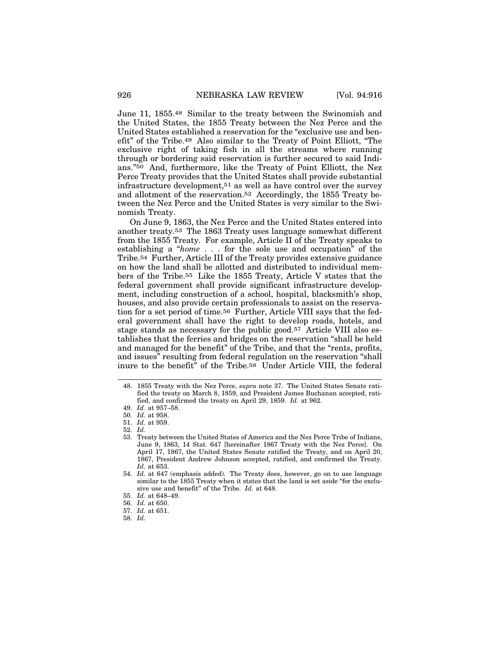June 11, 1855.48 Similar to the treaty between the Swinomish and the United States, the 1855 Treaty between the Nez Perce and the United States established a reservation for the "exclusive use and benefit" of the Tribe.49 Also similar to the Treaty of Point Elliott, "The exclusive right of taking fish in all the streams where running through or bordering said reservation is further secured to said Indians."50 And, furthermore, like the Treaty of Point Elliott, the Nez Perce Treaty provides that the United States shall provide substantial infrastructure development,51 as well as have control over the survey and allotment of the reservation.52 Accordingly, the 1855 Treaty between the Nez Perce and the United States is very similar to the Swinomish Treaty.

On June 9, 1863, the Nez Perce and the United States entered into another treaty.53 The 1863 Treaty uses language somewhat different from the 1855 Treaty. For example, Article II of the Treaty speaks to establishing a "*home* . . . for the sole use and occupation" of the Tribe.54 Further, Article III of the Treaty provides extensive guidance on how the land shall be allotted and distributed to individual members of the Tribe.55 Like the 1855 Treaty, Article V states that the federal government shall provide significant infrastructure development, including construction of a school, hospital, blacksmith's shop, houses, and also provide certain professionals to assist on the reservation for a set period of time.56 Further, Article VIII says that the federal government shall have the right to develop roads, hotels, and stage stands as necessary for the public good.57 Article VIII also establishes that the ferries and bridges on the reservation "shall be held and managed for the benefit" of the Tribe, and that the "rents, profits, and issues" resulting from federal regulation on the reservation "shall inure to the benefit" of the Tribe.<sup>58</sup> Under Article VIII, the federal

<sup>48. 1855</sup> Treaty with the Nez Perce, *supra* note 37. The United States Senate ratified the treaty on March 8, 1859, and President James Buchanan accepted, ratified, and confirmed the treaty on April 29, 1859. *Id.* at 962.

<sup>49.</sup> *Id.* at 957–58.

<sup>50.</sup> *Id.* at 958.

<sup>51.</sup> *Id.* at 959.

<sup>52.</sup> *Id.*

<sup>53.</sup> Treaty between the United States of America and the Nez Perce Tribe of Indians, June 9, 1863, 14 Stat. 647 [hereinafter 1867 Treaty with the Nez Perce]. On April 17, 1867, the United States Senate ratified the Treaty, and on April 20, 1867, President Andrew Johnson accepted, ratified, and confirmed the Treaty. *Id.* at 653.

<sup>54.</sup> *Id.* at 647 (emphasis added). The Treaty does, however, go on to use language similar to the 1855 Treaty when it states that the land is set aside "for the exclusive use and benefit" of the Tribe. *Id.* at 648.

<sup>55.</sup> *Id.* at 648–49.

<sup>56.</sup> *Id.* at 650.

<sup>57.</sup> *Id.* at 651.

<sup>58.</sup> *Id.*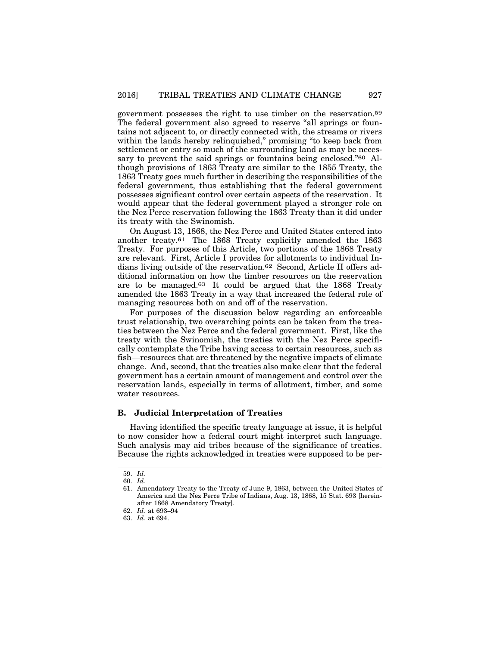government possesses the right to use timber on the reservation.59 The federal government also agreed to reserve "all springs or fountains not adjacent to, or directly connected with, the streams or rivers within the lands hereby relinquished," promising "to keep back from settlement or entry so much of the surrounding land as may be necessary to prevent the said springs or fountains being enclosed."60 Although provisions of 1863 Treaty are similar to the 1855 Treaty, the 1863 Treaty goes much further in describing the responsibilities of the federal government, thus establishing that the federal government possesses significant control over certain aspects of the reservation. It would appear that the federal government played a stronger role on the Nez Perce reservation following the 1863 Treaty than it did under its treaty with the Swinomish.

On August 13, 1868, the Nez Perce and United States entered into another treaty.61 The 1868 Treaty explicitly amended the 1863 Treaty. For purposes of this Article, two portions of the 1868 Treaty are relevant. First, Article I provides for allotments to individual Indians living outside of the reservation.62 Second, Article II offers additional information on how the timber resources on the reservation are to be managed.63 It could be argued that the 1868 Treaty amended the 1863 Treaty in a way that increased the federal role of managing resources both on and off of the reservation.

For purposes of the discussion below regarding an enforceable trust relationship, two overarching points can be taken from the treaties between the Nez Perce and the federal government. First, like the treaty with the Swinomish, the treaties with the Nez Perce specifically contemplate the Tribe having access to certain resources, such as fish—resources that are threatened by the negative impacts of climate change. And, second, that the treaties also make clear that the federal government has a certain amount of management and control over the reservation lands, especially in terms of allotment, timber, and some water resources.

# **B. Judicial Interpretation of Treaties**

Having identified the specific treaty language at issue, it is helpful to now consider how a federal court might interpret such language. Such analysis may aid tribes because of the significance of treaties. Because the rights acknowledged in treaties were supposed to be per-

<sup>59.</sup> *Id.*

<sup>60.</sup> *Id.*

<sup>61.</sup> Amendatory Treaty to the Treaty of June 9, 1863, between the United States of America and the Nez Perce Tribe of Indians, Aug. 13, 1868, 15 Stat. 693 [hereinafter 1868 Amendatory Treaty].

<sup>62.</sup> *Id.* at 693–94

<sup>63.</sup> *Id.* at 694.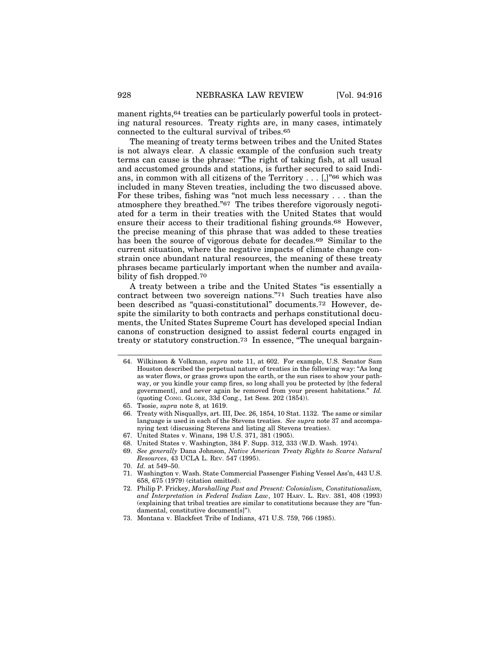manent rights,64 treaties can be particularly powerful tools in protecting natural resources. Treaty rights are, in many cases, intimately connected to the cultural survival of tribes.65

The meaning of treaty terms between tribes and the United States is not always clear. A classic example of the confusion such treaty terms can cause is the phrase: "The right of taking fish, at all usual and accustomed grounds and stations, is further secured to said Indians, in common with all citizens of the Territory  $\dots$  [,]<sup>"66</sup> which was included in many Steven treaties, including the two discussed above. For these tribes, fishing was "not much less necessary . . . than the atmosphere they breathed."67 The tribes therefore vigorously negotiated for a term in their treaties with the United States that would ensure their access to their traditional fishing grounds.68 However, the precise meaning of this phrase that was added to these treaties has been the source of vigorous debate for decades.<sup>69</sup> Similar to the current situation, where the negative impacts of climate change constrain once abundant natural resources, the meaning of these treaty phrases became particularly important when the number and availability of fish dropped.70

A treaty between a tribe and the United States "is essentially a contract between two sovereign nations."71 Such treaties have also been described as "quasi-constitutional" documents.72 However, despite the similarity to both contracts and perhaps constitutional documents, the United States Supreme Court has developed special Indian canons of construction designed to assist federal courts engaged in treaty or statutory construction.73 In essence, "The unequal bargain-

- 67. United States v. Winans, 198 U.S. 371, 381 (1905).
- 68. United States v. Washington, 384 F. Supp. 312, 333 (W.D. Wash. 1974).
- 69. *See generally* Dana Johnson, *Native American Treaty Rights to Scarce Natural Resources*, 43 UCLA L. REV. 547 (1995).
- 70. *Id.* at 549–50.
- 71. Washington v. Wash. State Commercial Passenger Fishing Vessel Ass'n, 443 U.S. 658, 675 (1979) (citation omitted).
- 72. Philip P. Frickey, *Marshalling Past and Present: Colonialism, Constitutionalism, and Interpretation in Federal Indian Law*, 107 HARV. L. REV. 381, 408 (1993) (explaining that tribal treaties are similar to constitutions because they are "fundamental, constitutive document[s]").
- 73. Montana v. Blackfeet Tribe of Indians, 471 U.S. 759, 766 (1985).

<sup>64.</sup> Wilkinson & Volkman, *supra* note 11, at 602. For example, U.S. Senator Sam Houston described the perpetual nature of treaties in the following way: "As long as water flows, or grass grows upon the earth, or the sun rises to show your pathway, or you kindle your camp fires, so long shall you be protected by [the federal government], and never again be removed from your present habitations." *Id.*  $\overline{q}$  (quoting Cong. GLOBE, 33d Cong., 1st Sess. 202 (1854)).

<sup>65.</sup> Tsosie, *supra* note 8, at 1619.

<sup>66.</sup> Treaty with Nisquallys, art. III, Dec. 26, 1854, 10 Stat. 1132. The same or similar language is used in each of the Stevens treaties. *See supra* note 37 and accompanying text (discussing Stevens and listing all Stevens treaties).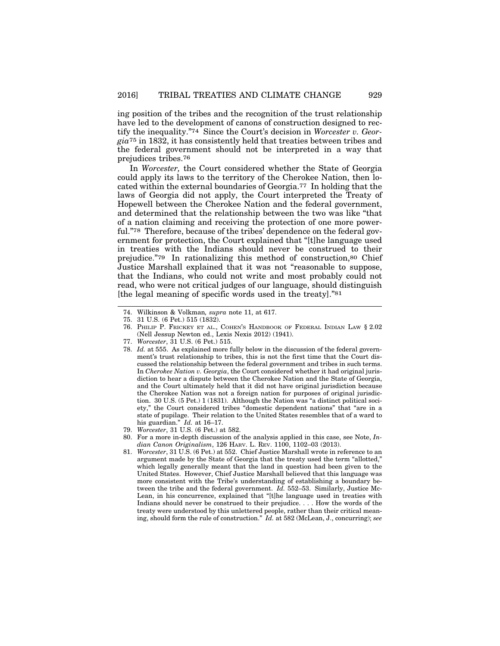ing position of the tribes and the recognition of the trust relationship have led to the development of canons of construction designed to rectify the inequality."74 Since the Court's decision in *Worcester v. Georgia*75 in 1832, it has consistently held that treaties between tribes and the federal government should not be interpreted in a way that prejudices tribes.76

In *Worcester,* the Court considered whether the State of Georgia could apply its laws to the territory of the Cherokee Nation, then located within the external boundaries of Georgia.77 In holding that the laws of Georgia did not apply, the Court interpreted the Treaty of Hopewell between the Cherokee Nation and the federal government, and determined that the relationship between the two was like "that of a nation claiming and receiving the protection of one more powerful."78 Therefore, because of the tribes' dependence on the federal government for protection, the Court explained that "[t]he language used in treaties with the Indians should never be construed to their prejudice."79 In rationalizing this method of construction,80 Chief Justice Marshall explained that it was not "reasonable to suppose, that the Indians, who could not write and most probably could not read, who were not critical judges of our language, should distinguish [the legal meaning of specific words used in the treaty]."81

- 74. Wilkinson & Volkman*, supra* note 11, at 617.
- 75. 31 U.S. (6 Pet.) 515 (1832).
- 76. PHILIP P. FRICKEY ET AL., COHEN'S HANDBOOK OF FEDERAL INDIAN LAW § 2.02 (Nell Jessup Newton ed., Lexis Nexis 2012) (1941).
- 77. *Worcester*, 31 U.S. (6 Pet.) 515.
- 78. *Id.* at 555. As explained more fully below in the discussion of the federal government's trust relationship to tribes, this is not the first time that the Court discussed the relationship between the federal government and tribes in such terms. In *Cherokee Nation v. Georgia*, the Court considered whether it had original jurisdiction to hear a dispute between the Cherokee Nation and the State of Georgia, and the Court ultimately held that it did not have original jurisdiction because the Cherokee Nation was not a foreign nation for purposes of original jurisdiction. 30 U.S. (5 Pet.) 1 (1831). Although the Nation was "a distinct political society," the Court considered tribes "domestic dependent nations" that "are in a state of pupilage. Their relation to the United States resembles that of a ward to his guardian." *Id.* at 16–17.
- 79. *Worcester*, 31 U.S. (6 Pet.) at 582.
- 80. For a more in-depth discussion of the analysis applied in this case, see Note, *Indian Canon Originalism*, 126 HARV. L. REV. 1100, 1102–03 (2013).
- 81. *Worcester*, 31 U.S. (6 Pet.) at 552. Chief Justice Marshall wrote in reference to an argument made by the State of Georgia that the treaty used the term "allotted," which legally generally meant that the land in question had been given to the United States. However, Chief Justice Marshall believed that this language was more consistent with the Tribe's understanding of establishing a boundary between the tribe and the federal government. *Id.* 552–53. Similarly, Justice Mc-Lean, in his concurrence, explained that "[t]he language used in treaties with Indians should never be construed to their prejudice. . . . How the words of the treaty were understood by this unlettered people, rather than their critical meaning, should form the rule of construction." *Id.* at 582 (McLean, J., concurring); *see*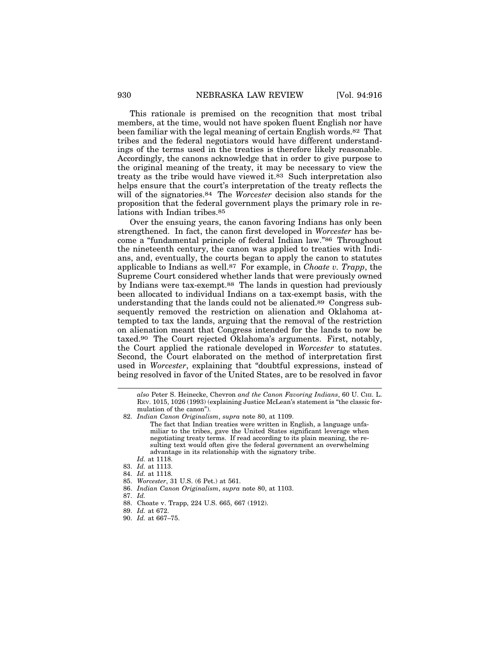This rationale is premised on the recognition that most tribal members, at the time, would not have spoken fluent English nor have been familiar with the legal meaning of certain English words.82 That tribes and the federal negotiators would have different understandings of the terms used in the treaties is therefore likely reasonable. Accordingly, the canons acknowledge that in order to give purpose to the original meaning of the treaty, it may be necessary to view the treaty as the tribe would have viewed it.83 Such interpretation also helps ensure that the court's interpretation of the treaty reflects the will of the signatories.84 The *Worcester* decision also stands for the proposition that the federal government plays the primary role in relations with Indian tribes.85

Over the ensuing years, the canon favoring Indians has only been strengthened. In fact, the canon first developed in *Worcester* has become a "fundamental principle of federal Indian law."86 Throughout the nineteenth century, the canon was applied to treaties with Indians, and, eventually, the courts began to apply the canon to statutes applicable to Indians as well.87 For example, in *Choate v. Trapp*, the Supreme Court considered whether lands that were previously owned by Indians were tax-exempt.88 The lands in question had previously been allocated to individual Indians on a tax-exempt basis, with the understanding that the lands could not be alienated.89 Congress subsequently removed the restriction on alienation and Oklahoma attempted to tax the lands, arguing that the removal of the restriction on alienation meant that Congress intended for the lands to now be taxed.90 The Court rejected Oklahoma's arguments. First, notably, the Court applied the rationale developed in *Worcester* to statutes. Second, the Court elaborated on the method of interpretation first used in *Worcester*, explaining that "doubtful expressions, instead of being resolved in favor of the United States, are to be resolved in favor

- 82. *Indian Canon Originalism*, *supra* note 80, at 1109.
	- The fact that Indian treaties were written in English, a language unfamiliar to the tribes, gave the United States significant leverage when negotiating treaty terms. If read according to its plain meaning, the resulting text would often give the federal government an overwhelming advantage in its relationship with the signatory tribe.
	- *Id.* at 1118.
- 83. *Id.* at 1113.
- 84. *Id.* at 1118.
- 85. *Worcester*, 31 U.S. (6 Pet.) at 561.
- 86. *Indian Canon Originalism*, *supra* note 80, at 1103.
- 87. *Id.*
- 88. Choate v. Trapp, 224 U.S. 665, 667 (1912).
- 89. *Id.* at 672.
- 90. *Id.* at 667–75.

*also* Peter S. Heinecke, Chevron *and the Canon Favoring Indians*, 60 U. CHI. L. REV. 1015, 1026 (1993) (explaining Justice McLean's statement is "the classic formulation of the canon").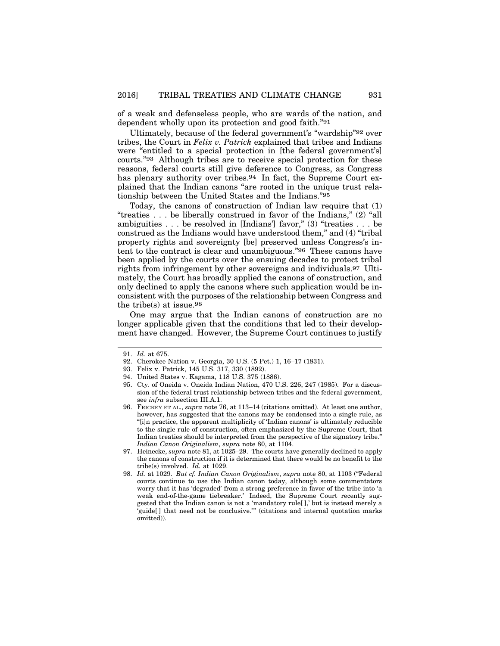of a weak and defenseless people, who are wards of the nation, and dependent wholly upon its protection and good faith."91

Ultimately, because of the federal government's "wardship"92 over tribes, the Court in *Felix v. Patrick* explained that tribes and Indians were "entitled to a special protection in [the federal government's] courts."93 Although tribes are to receive special protection for these reasons, federal courts still give deference to Congress, as Congress has plenary authority over tribes.<sup>94</sup> In fact, the Supreme Court explained that the Indian canons "are rooted in the unique trust relationship between the United States and the Indians."95

Today, the canons of construction of Indian law require that (1) "treaties . . . be liberally construed in favor of the Indians," (2) "all ambiguities . . . be resolved in [Indians'] favor," (3) "treaties . . . be construed as the Indians would have understood them," and (4) "tribal property rights and sovereignty [be] preserved unless Congress's intent to the contract is clear and unambiguous."96 These canons have been applied by the courts over the ensuing decades to protect tribal rights from infringement by other sovereigns and individuals.97 Ultimately, the Court has broadly applied the canons of construction, and only declined to apply the canons where such application would be inconsistent with the purposes of the relationship between Congress and the tribe(s) at issue.98

One may argue that the Indian canons of construction are no longer applicable given that the conditions that led to their development have changed. However, the Supreme Court continues to justify

<sup>91.</sup> *Id.* at 675.

<sup>92.</sup> Cherokee Nation v. Georgia, 30 U.S. (5 Pet.) 1, 16–17 (1831).

<sup>93.</sup> Felix v. Patrick, 145 U.S. 317, 330 (1892).

<sup>94.</sup> United States v. Kagama, 118 U.S. 375 (1886).

<sup>95.</sup> Cty. of Oneida v. Oneida Indian Nation, 470 U.S. 226, 247 (1985). For a discussion of the federal trust relationship between tribes and the federal government, see *infra* subsection III.A.1.

<sup>96.</sup> FRICKEY ET AL., *supra* note 76, at 113–14 (citations omitted). At least one author, however, has suggested that the canons may be condensed into a single rule, as "[i]n practice, the apparent multiplicity of 'Indian canons' is ultimately reducible to the single rule of construction, often emphasized by the Supreme Court, that Indian treaties should be interpreted from the perspective of the signatory tribe." *Indian Canon Originalism*, *supra* note 80, at 1104.

<sup>97.</sup> Heinecke, *supra* note 81, at 1025–29. The courts have generally declined to apply the canons of construction if it is determined that there would be no benefit to the tribe(s) involved. *Id.* at 1029.

<sup>98.</sup> *Id.* at 1029. *But cf. Indian Canon Originalism*, *supra* note 80, at 1103 ("Federal courts continue to use the Indian canon today, although some commentators worry that it has 'degraded' from a strong preference in favor of the tribe into 'a weak end-of-the-game tiebreaker.' Indeed, the Supreme Court recently suggested that the Indian canon is not a 'mandatory rule[ ],' but is instead merely a 'guide[ ] that need not be conclusive.'" (citations and internal quotation marks omitted)).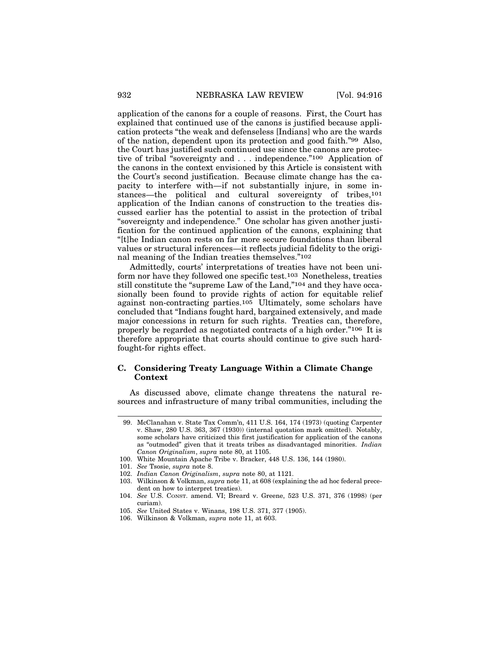application of the canons for a couple of reasons. First, the Court has explained that continued use of the canons is justified because application protects "the weak and defenseless [Indians] who are the wards of the nation, dependent upon its protection and good faith."99 Also, the Court has justified such continued use since the canons are protective of tribal "sovereignty and . . . independence."100 Application of the canons in the context envisioned by this Article is consistent with the Court's second justification. Because climate change has the capacity to interfere with—if not substantially injure, in some instances—the political and cultural sovereignty of tribes,101 application of the Indian canons of construction to the treaties discussed earlier has the potential to assist in the protection of tribal "sovereignty and independence." One scholar has given another justification for the continued application of the canons, explaining that "[t]he Indian canon rests on far more secure foundations than liberal values or structural inferences—it reflects judicial fidelity to the original meaning of the Indian treaties themselves."102

Admittedly, courts' interpretations of treaties have not been uniform nor have they followed one specific test.103 Nonetheless, treaties still constitute the "supreme Law of the Land,"104 and they have occasionally been found to provide rights of action for equitable relief against non-contracting parties.105 Ultimately, some scholars have concluded that "Indians fought hard, bargained extensively, and made major concessions in return for such rights. Treaties can, therefore, properly be regarded as negotiated contracts of a high order."106 It is therefore appropriate that courts should continue to give such hardfought-for rights effect.

#### **C. Considering Treaty Language Within a Climate Change Context**

As discussed above, climate change threatens the natural resources and infrastructure of many tribal communities, including the

102. *Indian Canon Originalism*, *supra* note 80, at 1121.

<sup>99.</sup> McClanahan v. State Tax Comm'n, 411 U.S. 164, 174 (1973) (quoting Carpenter v. Shaw, 280 U.S. 363, 367 (1930)) (internal quotation mark omitted). Notably, some scholars have criticized this first justification for application of the canons as "outmoded" given that it treats tribes as disadvantaged minorities. *Indian Canon Originalism*, *supra* note 80, at 1105.

<sup>100.</sup> White Mountain Apache Tribe v. Bracker, 448 U.S. 136, 144 (1980).

<sup>101.</sup> *See* Tsosie, *supra* note 8.

<sup>103.</sup> Wilkinson & Volkman, *supra* note 11, at 608 (explaining the ad hoc federal precedent on how to interpret treaties).

<sup>104.</sup> *See* U.S. CONST. amend. VI; Breard v. Greene, 523 U.S. 371, 376 (1998) (per curiam).

<sup>105.</sup> *See* United States v. Winans, 198 U.S. 371, 377 (1905).

<sup>106.</sup> Wilkinson & Volkman, *supra* note 11, at 603.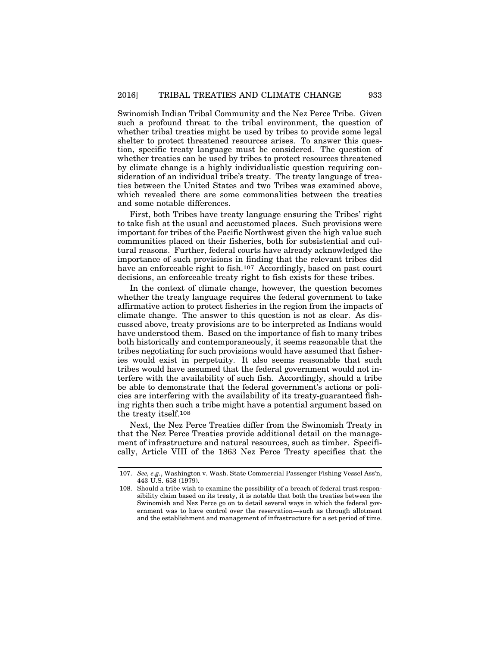Swinomish Indian Tribal Community and the Nez Perce Tribe. Given such a profound threat to the tribal environment, the question of whether tribal treaties might be used by tribes to provide some legal shelter to protect threatened resources arises. To answer this question, specific treaty language must be considered. The question of whether treaties can be used by tribes to protect resources threatened by climate change is a highly individualistic question requiring consideration of an individual tribe's treaty. The treaty language of treaties between the United States and two Tribes was examined above, which revealed there are some commonalities between the treaties and some notable differences.

First, both Tribes have treaty language ensuring the Tribes' right to take fish at the usual and accustomed places. Such provisions were important for tribes of the Pacific Northwest given the high value such communities placed on their fisheries, both for subsistential and cultural reasons. Further, federal courts have already acknowledged the importance of such provisions in finding that the relevant tribes did have an enforceable right to fish.<sup>107</sup> Accordingly, based on past court decisions, an enforceable treaty right to fish exists for these tribes.

In the context of climate change, however, the question becomes whether the treaty language requires the federal government to take affirmative action to protect fisheries in the region from the impacts of climate change. The answer to this question is not as clear. As discussed above, treaty provisions are to be interpreted as Indians would have understood them. Based on the importance of fish to many tribes both historically and contemporaneously, it seems reasonable that the tribes negotiating for such provisions would have assumed that fisheries would exist in perpetuity. It also seems reasonable that such tribes would have assumed that the federal government would not interfere with the availability of such fish. Accordingly, should a tribe be able to demonstrate that the federal government's actions or policies are interfering with the availability of its treaty-guaranteed fishing rights then such a tribe might have a potential argument based on the treaty itself.108

Next, the Nez Perce Treaties differ from the Swinomish Treaty in that the Nez Perce Treaties provide additional detail on the management of infrastructure and natural resources, such as timber. Specifically, Article VIII of the 1863 Nez Perce Treaty specifies that the

<sup>107.</sup> *See, e.g.*, Washington v. Wash. State Commercial Passenger Fishing Vessel Ass'n, 443 U.S. 658 (1979).

<sup>108.</sup> Should a tribe wish to examine the possibility of a breach of federal trust responsibility claim based on its treaty, it is notable that both the treaties between the Swinomish and Nez Perce go on to detail several ways in which the federal government was to have control over the reservation—such as through allotment and the establishment and management of infrastructure for a set period of time.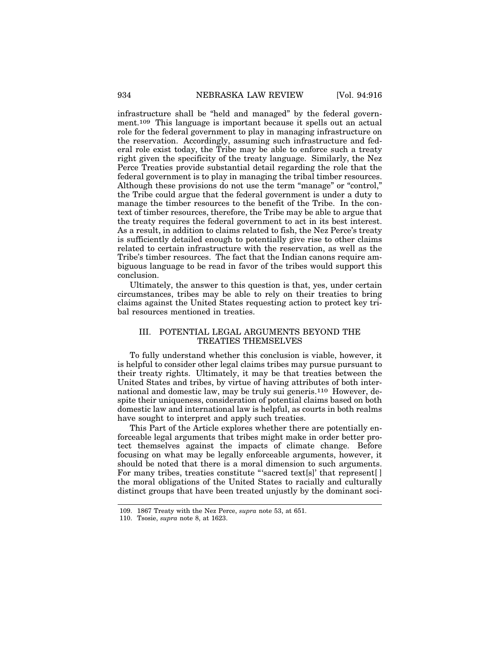infrastructure shall be "held and managed" by the federal government.109 This language is important because it spells out an actual role for the federal government to play in managing infrastructure on the reservation. Accordingly, assuming such infrastructure and federal role exist today, the Tribe may be able to enforce such a treaty right given the specificity of the treaty language. Similarly, the Nez Perce Treaties provide substantial detail regarding the role that the federal government is to play in managing the tribal timber resources. Although these provisions do not use the term "manage" or "control," the Tribe could argue that the federal government is under a duty to manage the timber resources to the benefit of the Tribe. In the context of timber resources, therefore, the Tribe may be able to argue that the treaty requires the federal government to act in its best interest. As a result, in addition to claims related to fish, the Nez Perce's treaty is sufficiently detailed enough to potentially give rise to other claims related to certain infrastructure with the reservation, as well as the Tribe's timber resources. The fact that the Indian canons require ambiguous language to be read in favor of the tribes would support this conclusion.

Ultimately, the answer to this question is that, yes, under certain circumstances, tribes may be able to rely on their treaties to bring claims against the United States requesting action to protect key tribal resources mentioned in treaties.

# III. POTENTIAL LEGAL ARGUMENTS BEYOND THE TREATIES THEMSELVES

To fully understand whether this conclusion is viable, however, it is helpful to consider other legal claims tribes may pursue pursuant to their treaty rights. Ultimately, it may be that treaties between the United States and tribes, by virtue of having attributes of both international and domestic law, may be truly sui generis.110 However, despite their uniqueness, consideration of potential claims based on both domestic law and international law is helpful, as courts in both realms have sought to interpret and apply such treaties.

This Part of the Article explores whether there are potentially enforceable legal arguments that tribes might make in order better protect themselves against the impacts of climate change. Before focusing on what may be legally enforceable arguments, however, it should be noted that there is a moral dimension to such arguments. For many tribes, treaties constitute "'sacred text[s]' that represent[ ] the moral obligations of the United States to racially and culturally distinct groups that have been treated unjustly by the dominant soci-

<sup>109. 1867</sup> Treaty with the Nez Perce, *supra* note 53, at 651.

<sup>110.</sup> Tsosie, *supra* note 8, at 1623.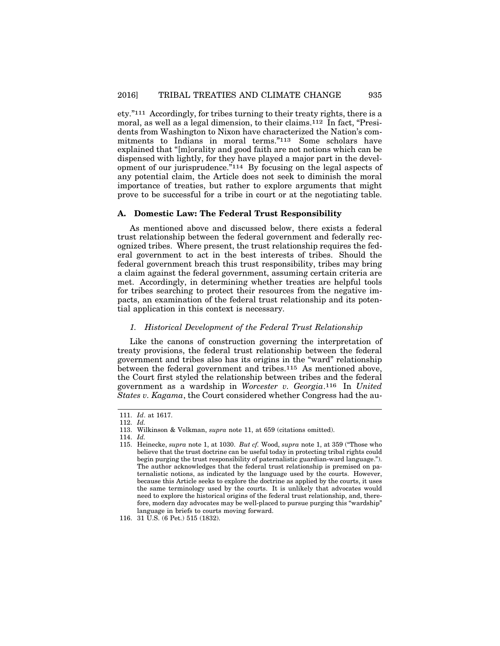ety."111 Accordingly, for tribes turning to their treaty rights, there is a moral, as well as a legal dimension, to their claims.112 In fact, "Presidents from Washington to Nixon have characterized the Nation's commitments to Indians in moral terms."113 Some scholars have explained that "[m]orality and good faith are not notions which can be dispensed with lightly, for they have played a major part in the development of our jurisprudence."114 By focusing on the legal aspects of any potential claim, the Article does not seek to diminish the moral importance of treaties, but rather to explore arguments that might prove to be successful for a tribe in court or at the negotiating table.

#### **A. Domestic Law: The Federal Trust Responsibility**

As mentioned above and discussed below, there exists a federal trust relationship between the federal government and federally recognized tribes. Where present, the trust relationship requires the federal government to act in the best interests of tribes. Should the federal government breach this trust responsibility, tribes may bring a claim against the federal government, assuming certain criteria are met. Accordingly, in determining whether treaties are helpful tools for tribes searching to protect their resources from the negative impacts, an examination of the federal trust relationship and its potential application in this context is necessary.

# *1. Historical Development of the Federal Trust Relationship*

Like the canons of construction governing the interpretation of treaty provisions, the federal trust relationship between the federal government and tribes also has its origins in the "ward" relationship between the federal government and tribes.115 As mentioned above, the Court first styled the relationship between tribes and the federal government as a wardship in *Worcester v. Georgia*.116 In *United States v. Kagama*, the Court considered whether Congress had the au-

<sup>111.</sup> *Id*. at 1617.

<sup>112.</sup> *Id.*

<sup>113.</sup> Wilkinson & Volkman, *supra* note 11, at 659 (citations omitted).

<sup>114.</sup> *Id.*

<sup>115.</sup> Heinecke, *supra* note 1, at 1030. *But cf.* Wood, *supra* note 1, at 359 ("Those who believe that the trust doctrine can be useful today in protecting tribal rights could begin purging the trust responsibility of paternalistic guardian-ward language."). The author acknowledges that the federal trust relationship is premised on paternalistic notions, as indicated by the language used by the courts. However, because this Article seeks to explore the doctrine as applied by the courts, it uses the same terminology used by the courts. It is unlikely that advocates would need to explore the historical origins of the federal trust relationship, and, therefore, modern day advocates may be well-placed to pursue purging this "wardship" language in briefs to courts moving forward.

<sup>116. 31</sup> U.S. (6 Pet.) 515 (1832).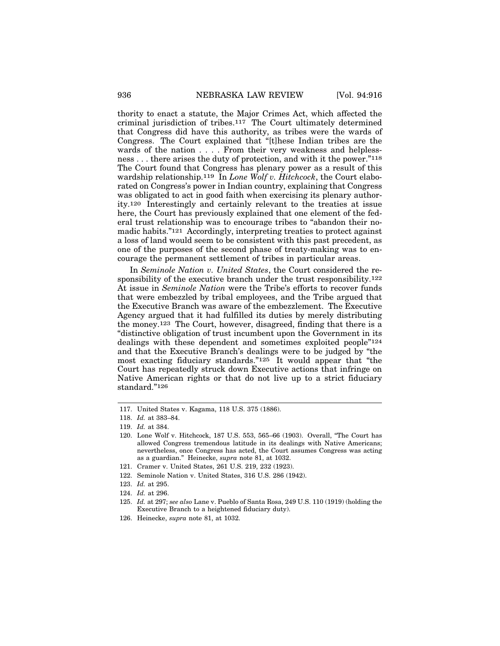thority to enact a statute, the Major Crimes Act, which affected the criminal jurisdiction of tribes.117 The Court ultimately determined that Congress did have this authority, as tribes were the wards of Congress. The Court explained that "[t]hese Indian tribes are the wards of the nation . . . . From their very weakness and helplessness . . . there arises the duty of protection, and with it the power."118 The Court found that Congress has plenary power as a result of this wardship relationship.119 In *Lone Wolf v. Hitchcock*, the Court elaborated on Congress's power in Indian country, explaining that Congress was obligated to act in good faith when exercising its plenary authority.120 Interestingly and certainly relevant to the treaties at issue here, the Court has previously explained that one element of the federal trust relationship was to encourage tribes to "abandon their nomadic habits."121 Accordingly, interpreting treaties to protect against a loss of land would seem to be consistent with this past precedent, as one of the purposes of the second phase of treaty-making was to encourage the permanent settlement of tribes in particular areas.

In *Seminole Nation v. United States*, the Court considered the responsibility of the executive branch under the trust responsibility.122 At issue in *Seminole Nation* were the Tribe's efforts to recover funds that were embezzled by tribal employees, and the Tribe argued that the Executive Branch was aware of the embezzlement. The Executive Agency argued that it had fulfilled its duties by merely distributing the money.123 The Court, however, disagreed, finding that there is a "distinctive obligation of trust incumbent upon the Government in its dealings with these dependent and sometimes exploited people"124 and that the Executive Branch's dealings were to be judged by "the most exacting fiduciary standards."125 It would appear that "the Court has repeatedly struck down Executive actions that infringe on Native American rights or that do not live up to a strict fiduciary standard."126

<sup>117.</sup> United States v. Kagama, 118 U.S. 375 (1886).

<sup>118.</sup> *Id.* at 383–84.

<sup>119.</sup> *Id.* at 384.

<sup>120.</sup> Lone Wolf v. Hitchcock, 187 U.S. 553, 565–66 (1903). Overall, "The Court has allowed Congress tremendous latitude in its dealings with Native Americans; nevertheless, once Congress has acted, the Court assumes Congress was acting as a guardian." Heinecke, *supra* note 81, at 1032.

<sup>121.</sup> Cramer v. United States, 261 U.S. 219, 232 (1923).

<sup>122.</sup> Seminole Nation v. United States, 316 U.S. 286 (1942).

<sup>123.</sup> *Id.* at 295.

<sup>124.</sup> *Id.* at 296.

<sup>125.</sup> *Id.* at 297; *see also* Lane v. Pueblo of Santa Rosa, 249 U.S. 110 (1919) (holding the Executive Branch to a heightened fiduciary duty).

<sup>126.</sup> Heinecke, *supra* note 81, at 1032.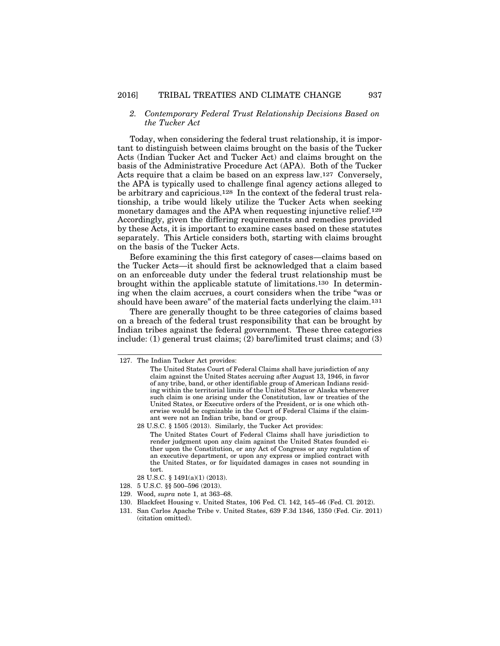#### *2. Contemporary Federal Trust Relationship Decisions Based on the Tucker Act*

Today, when considering the federal trust relationship, it is important to distinguish between claims brought on the basis of the Tucker Acts (Indian Tucker Act and Tucker Act) and claims brought on the basis of the Administrative Procedure Act (APA). Both of the Tucker Acts require that a claim be based on an express law.127 Conversely, the APA is typically used to challenge final agency actions alleged to be arbitrary and capricious.128 In the context of the federal trust relationship, a tribe would likely utilize the Tucker Acts when seeking monetary damages and the APA when requesting injunctive relief.129 Accordingly, given the differing requirements and remedies provided by these Acts, it is important to examine cases based on these statutes separately. This Article considers both, starting with claims brought on the basis of the Tucker Acts.

Before examining the this first category of cases—claims based on the Tucker Acts—it should first be acknowledged that a claim based on an enforceable duty under the federal trust relationship must be brought within the applicable statute of limitations.130 In determining when the claim accrues, a court considers when the tribe "was or should have been aware" of the material facts underlying the claim.131

There are generally thought to be three categories of claims based on a breach of the federal trust responsibility that can be brought by Indian tribes against the federal government. These three categories include: (1) general trust claims; (2) bare/limited trust claims; and (3)

<sup>127.</sup> The Indian Tucker Act provides:

The United States Court of Federal Claims shall have jurisdiction of any claim against the United States accruing after August 13, 1946, in favor of any tribe, band, or other identifiable group of American Indians residing within the territorial limits of the United States or Alaska whenever such claim is one arising under the Constitution, law or treaties of the United States, or Executive orders of the President, or is one which otherwise would be cognizable in the Court of Federal Claims if the claimant were not an Indian tribe, band or group.

<sup>28</sup> U.S.C. § 1505 (2013). Similarly, the Tucker Act provides:

The United States Court of Federal Claims shall have jurisdiction to render judgment upon any claim against the United States founded either upon the Constitution, or any Act of Congress or any regulation of an executive department, or upon any express or implied contract with the United States, or for liquidated damages in cases not sounding in tort.

<sup>28</sup> U.S.C. § 1491(a)(1) (2013).

<sup>128. 5</sup> U.S.C. §§ 500–596 (2013).

<sup>129.</sup> Wood, *supra* note 1, at 363–68.

<sup>130.</sup> Blackfeet Housing v. United States, 106 Fed. Cl. 142, 145–46 (Fed. Cl. 2012).

<sup>131.</sup> San Carlos Apache Tribe v. United States, 639 F.3d 1346, 1350 (Fed. Cir. 2011) (citation omitted).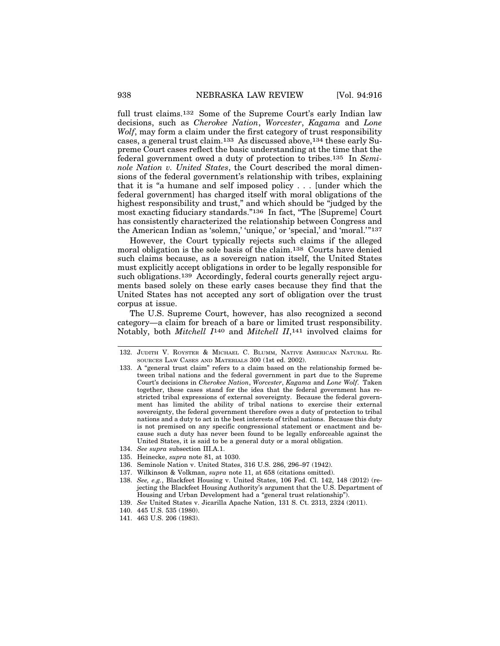full trust claims.<sup>132</sup> Some of the Supreme Court's early Indian law decisions, such as *Cherokee Nation*, *Worcester*, *Kagama* and *Lone Wolf*, may form a claim under the first category of trust responsibility cases, a general trust claim.133 As discussed above,134 these early Supreme Court cases reflect the basic understanding at the time that the federal government owed a duty of protection to tribes.135 In *Seminole Nation v. United States*, the Court described the moral dimensions of the federal government's relationship with tribes, explaining that it is "a humane and self imposed policy . . . [under which the federal government] has charged itself with moral obligations of the highest responsibility and trust," and which should be "judged by the most exacting fiduciary standards."136 In fact, "The [Supreme] Court has consistently characterized the relationship between Congress and the American Indian as 'solemn,' 'unique,' or 'special,' and 'moral.'"137

However, the Court typically rejects such claims if the alleged moral obligation is the sole basis of the claim.138 Courts have denied such claims because, as a sovereign nation itself, the United States must explicitly accept obligations in order to be legally responsible for such obligations.<sup>139</sup> Accordingly, federal courts generally reject arguments based solely on these early cases because they find that the United States has not accepted any sort of obligation over the trust corpus at issue.

The U.S. Supreme Court, however, has also recognized a second category—a claim for breach of a bare or limited trust responsibility. Notably, both *Mitchell I*140 and *Mitchell II*,141 involved claims for

- 136. Seminole Nation v. United States, 316 U.S. 286, 296–97 (1942).
- 137. Wilkinson & Volkman, *supra* note 11, at 658 (citations omitted).
- 138. *See, e.g.*, Blackfeet Housing v. United States, 106 Fed. Cl. 142, 148 (2012) (rejecting the Blackfeet Housing Authority's argument that the U.S. Department of Housing and Urban Development had a "general trust relationship").
- 139. *See* United States v. Jicarilla Apache Nation, 131 S. Ct. 2313, 2324 (2011).
- 140. 445 U.S. 535 (1980).
- 141. 463 U.S. 206 (1983).

<sup>132.</sup> JUDITH V. ROYSTER & MICHAEL C. BLUMM, NATIVE AMERICAN NATURAL RE-SOURCES LAW CASES AND MATERIALS 300 (1st ed. 2002).

<sup>133.</sup> A "general trust claim" refers to a claim based on the relationship formed between tribal nations and the federal government in part due to the Supreme Court's decisions in *Cherokee Nation*, *Worcester*, *Kagama* and *Lone Wolf*. Taken together, these cases stand for the idea that the federal government has restricted tribal expressions of external sovereignty. Because the federal government has limited the ability of tribal nations to exercise their external sovereignty, the federal government therefore owes a duty of protection to tribal nations and a duty to act in the best interests of tribal nations. Because this duty is not premised on any specific congressional statement or enactment and because such a duty has never been found to be legally enforceable against the United States, it is said to be a general duty or a moral obligation.

<sup>134.</sup> *See supra* subsection III.A.1.

<sup>135.</sup> Heinecke, *supra* note 81, at 1030.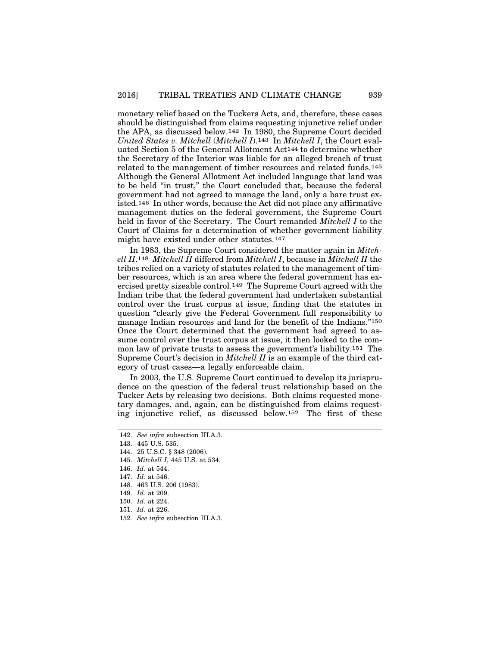monetary relief based on the Tuckers Acts, and, therefore, these cases should be distinguished from claims requesting injunctive relief under the APA, as discussed below.142 In 1980, the Supreme Court decided *United States v. Mitchell* (*Mitchell I*).143 In *Mitchell I*, the Court evaluated Section 5 of the General Allotment Act144 to determine whether the Secretary of the Interior was liable for an alleged breach of trust related to the management of timber resources and related funds.145 Although the General Allotment Act included language that land was to be held "in trust," the Court concluded that, because the federal government had not agreed to manage the land, only a bare trust existed.146 In other words, because the Act did not place any affirmative management duties on the federal government, the Supreme Court held in favor of the Secretary. The Court remanded *Mitchell I* to the Court of Claims for a determination of whether government liability might have existed under other statutes.147

In 1983, the Supreme Court considered the matter again in *Mitchell II*.148 *Mitchell II* differed from *Mitchell I*, because in *Mitchell II* the tribes relied on a variety of statutes related to the management of timber resources, which is an area where the federal government has exercised pretty sizeable control.149 The Supreme Court agreed with the Indian tribe that the federal government had undertaken substantial control over the trust corpus at issue, finding that the statutes in question "clearly give the Federal Government full responsibility to manage Indian resources and land for the benefit of the Indians."150 Once the Court determined that the government had agreed to assume control over the trust corpus at issue, it then looked to the common law of private trusts to assess the government's liability.151 The Supreme Court's decision in *Mitchell II* is an example of the third category of trust cases—a legally enforceable claim.

In 2003, the U.S. Supreme Court continued to develop its jurisprudence on the question of the federal trust relationship based on the Tucker Acts by releasing two decisions. Both claims requested monetary damages, and, again, can be distinguished from claims requesting injunctive relief, as discussed below.152 The first of these

146. *Id.* at 544.

- 149. *Id.* at 209.
- 150. *Id.* at 224.
- 151. *Id.* at 226.
- 152. *See infra* subsection III.A.3.

<sup>142.</sup> *See infra* subsection III.A.3.

<sup>143. 445</sup> U.S. 535.

<sup>144. 25</sup> U.S.C. § 348 (2006).

<sup>145.</sup> *Mitchell I*, 445 U.S. at 534.

<sup>147.</sup> *Id.* at 546.

<sup>148. 463</sup> U.S. 206 (1983).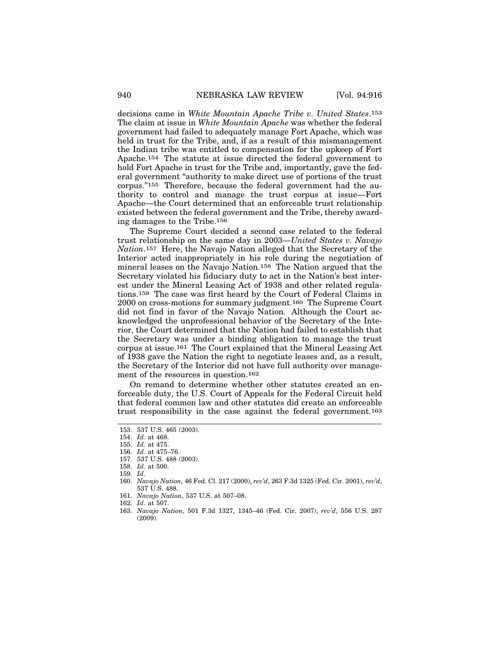decisions came in *White Mountain Apache Tribe v. United States*.153 The claim at issue in *White Mountain Apache* was whether the federal government had failed to adequately manage Fort Apache, which was held in trust for the Tribe, and, if as a result of this mismanagement the Indian tribe was entitled to compensation for the upkeep of Fort Apache.154 The statute at issue directed the federal government to hold Fort Apache in trust for the Tribe and, importantly, gave the federal government "authority to make direct use of portions of the trust corpus."155 Therefore, because the federal government had the authority to control and manage the trust corpus at issue—Fort Apache—the Court determined that an enforceable trust relationship existed between the federal government and the Tribe, thereby awarding damages to the Tribe.156

The Supreme Court decided a second case related to the federal trust relationship on the same day in 2003—*United States v. Navajo Nation*.157 Here, the Navajo Nation alleged that the Secretary of the Interior acted inappropriately in his role during the negotiation of mineral leases on the Navajo Nation.158 The Nation argued that the Secretary violated his fiduciary duty to act in the Nation's best interest under the Mineral Leasing Act of 1938 and other related regulations.159 The case was first heard by the Court of Federal Claims in 2000 on cross-motions for summary judgment.160 The Supreme Court did not find in favor of the Navajo Nation. Although the Court acknowledged the unprofessional behavior of the Secretary of the Interior, the Court determined that the Nation had failed to establish that the Secretary was under a binding obligation to manage the trust corpus at issue.161 The Court explained that the Mineral Leasing Act of 1938 gave the Nation the right to negotiate leases and, as a result, the Secretary of the Interior did not have full authority over management of the resources in question.162

On remand to determine whether other statutes created an enforceable duty, the U.S. Court of Appeals for the Federal Circuit held that federal common law and other statutes did create an enforceable trust responsibility in the case against the federal government.163

- 160. *Navajo Nation*, 46 Fed. Cl. 217 (2000), *rev'd*, 263 F.3d 1325 (Fed. Cir. 2001), *rev'd*, 537 U.S. 488.
- 161. *Navajo Nation*, 537 U.S. at 507–08.
- 162. *Id*. at 507.
- 163. *Navajo Nation*, 501 F.3d 1327, 1345–46 (Fed. Cir. 2007), *rev'd*, 556 U.S. 287 (2009).

<sup>153. 537</sup> U.S. 465 (2003).

<sup>154.</sup> *Id.* at 468.

<sup>155.</sup> *Id.* at 475.

<sup>156.</sup> *Id*. at 475–76.

<sup>157. 537</sup> U.S. 488 (2003).

<sup>158.</sup> *Id.* at 500.

<sup>159.</sup> *Id*.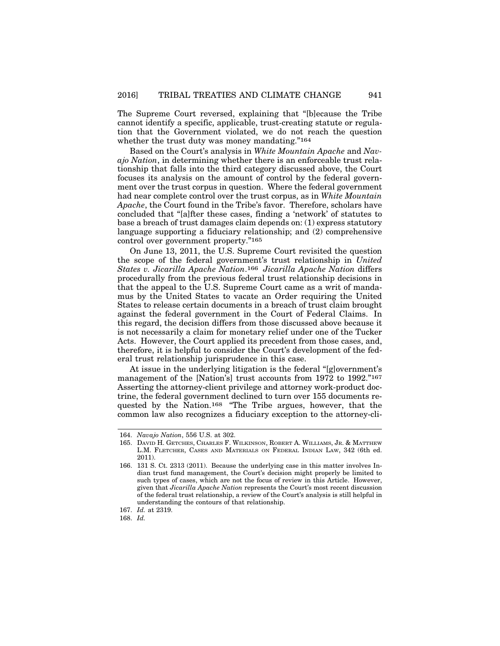The Supreme Court reversed, explaining that "[b]ecause the Tribe cannot identify a specific, applicable, trust-creating statute or regulation that the Government violated, we do not reach the question whether the trust duty was money mandating."164

Based on the Court's analysis in *White Mountain Apache* and *Navajo Nation*, in determining whether there is an enforceable trust relationship that falls into the third category discussed above, the Court focuses its analysis on the amount of control by the federal government over the trust corpus in question. Where the federal government had near complete control over the trust corpus, as in *White Mountain Apache*, the Court found in the Tribe's favor. Therefore, scholars have concluded that "[a]fter these cases, finding a 'network' of statutes to base a breach of trust damages claim depends on: (1) express statutory language supporting a fiduciary relationship; and (2) comprehensive control over government property."165

On June 13, 2011, the U.S. Supreme Court revisited the question the scope of the federal government's trust relationship in *United States v. Jicarilla Apache Nation*.166 *Jicarilla Apache Nation* differs procedurally from the previous federal trust relationship decisions in that the appeal to the U.S. Supreme Court came as a writ of mandamus by the United States to vacate an Order requiring the United States to release certain documents in a breach of trust claim brought against the federal government in the Court of Federal Claims. In this regard, the decision differs from those discussed above because it is not necessarily a claim for monetary relief under one of the Tucker Acts. However, the Court applied its precedent from those cases, and, therefore, it is helpful to consider the Court's development of the federal trust relationship jurisprudence in this case.

At issue in the underlying litigation is the federal "[g]overnment's management of the [Nation's] trust accounts from 1972 to 1992."167 Asserting the attorney-client privilege and attorney work-product doctrine, the federal government declined to turn over 155 documents requested by the Nation.168 "The Tribe argues, however, that the common law also recognizes a fiduciary exception to the attorney-cli-

<sup>164.</sup> *Navajo Nation*, 556 U.S. at 302.

<sup>165.</sup> DAVID H. GETCHES, CHARLES F. WILKINSON, ROBERT A. WILLIAMS, JR. & MATTHEW L.M. FLETCHER, CASES AND MATERIALS ON FEDERAL INDIAN LAW, 342 (6th ed. 2011).

<sup>166. 131</sup> S. Ct. 2313 (2011). Because the underlying case in this matter involves Indian trust fund management, the Court's decision might properly be limited to such types of cases, which are not the focus of review in this Article. However, given that *Jicarilla Apache Nation* represents the Court's most recent discussion of the federal trust relationship, a review of the Court's analysis is still helpful in understanding the contours of that relationship.

<sup>167.</sup> *Id.* at 2319.

<sup>168.</sup> *Id.*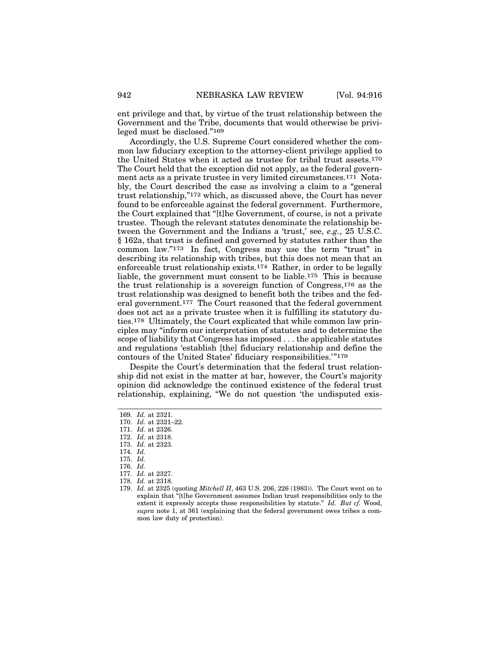ent privilege and that, by virtue of the trust relationship between the Government and the Tribe, documents that would otherwise be privileged must be disclosed."169

Accordingly, the U.S. Supreme Court considered whether the common law fiduciary exception to the attorney-client privilege applied to the United States when it acted as trustee for tribal trust assets.170 The Court held that the exception did not apply, as the federal government acts as a private trustee in very limited circumstances.171 Notably, the Court described the case as involving a claim to a "general trust relationship,"172 which, as discussed above, the Court has never found to be enforceable against the federal government. Furthermore, the Court explained that "[t]he Government, of course, is not a private trustee. Though the relevant statutes denominate the relationship between the Government and the Indians a 'trust,' see, *e.g.*, 25 U.S.C. § 162a, that trust is defined and governed by statutes rather than the common law."173 In fact, Congress may use the term "trust" in describing its relationship with tribes, but this does not mean that an enforceable trust relationship exists.174 Rather, in order to be legally liable, the government must consent to be liable.175 This is because the trust relationship is a sovereign function of Congress,176 as the trust relationship was designed to benefit both the tribes and the federal government.177 The Court reasoned that the federal government does not act as a private trustee when it is fulfilling its statutory duties.178 Ultimately, the Court explicated that while common law principles may "inform our interpretation of statutes and to determine the scope of liability that Congress has imposed . . . the applicable statutes and regulations 'establish [the] fiduciary relationship and define the contours of the United States' fiduciary responsibilities.'"179

Despite the Court's determination that the federal trust relationship did not exist in the matter at bar, however, the Court's majority opinion did acknowledge the continued existence of the federal trust relationship, explaining, "We do not question 'the undisputed exis-

<sup>169.</sup> *Id.* at 2321.

<sup>170.</sup> *Id.* at 2321–22.

<sup>171.</sup> *Id.* at 2326.

<sup>172.</sup> *Id.* at 2318.

<sup>173.</sup> *Id.* at 2323. 174. *Id.*

<sup>175.</sup> *Id.*

<sup>176.</sup> *Id.*

<sup>177.</sup> *Id.* at 2327. 178. *Id.* at 2318.

<sup>179.</sup> *Id.* at 2325 (quoting *Mitchell II*, 463 U.S. 206, 226 (1983)). The Court went on to explain that "[t]he Government assumes Indian trust responsibilities only to the extent it expressly accepts those responsibilities by statute." *Id. But cf.* Wood, *supra* note 1, at 361 (explaining that the federal government owes tribes a common law duty of protection).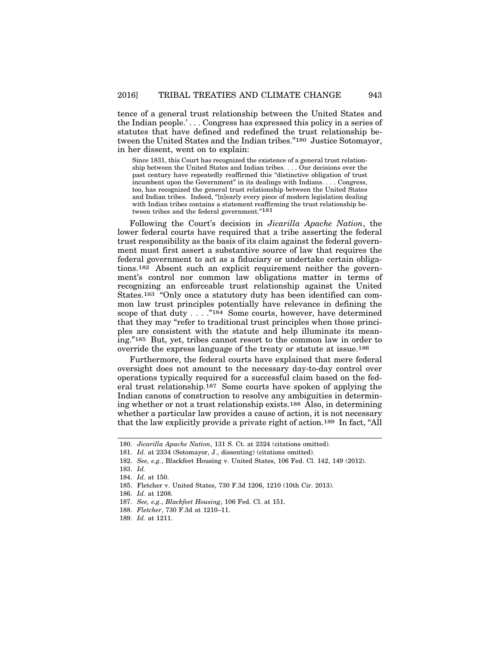tence of a general trust relationship between the United States and the Indian people.' . . . Congress has expressed this policy in a series of statutes that have defined and redefined the trust relationship between the United States and the Indian tribes."180 Justice Sotomayor, in her dissent, went on to explain:

Since 1831, this Court has recognized the existence of a general trust relationship between the United States and Indian tribes. . . . Our decisions over the past century have repeatedly reaffirmed this "distinctive obligation of trust incumbent upon the Government" in its dealings with Indians. . . . Congress, too, has recognized the general trust relationship between the United States and Indian tribes. Indeed, "[n]early every piece of modern legislation dealing with Indian tribes contains a statement reaffirming the trust relationship between tribes and the federal government."181

Following the Court's decision in *Jicarilla Apache Nation*, the lower federal courts have required that a tribe asserting the federal trust responsibility as the basis of its claim against the federal government must first assert a substantive source of law that requires the federal government to act as a fiduciary or undertake certain obligations.182 Absent such an explicit requirement neither the government's control nor common law obligations matter in terms of recognizing an enforceable trust relationship against the United States.183 "Only once a statutory duty has been identified can common law trust principles potentially have relevance in defining the scope of that duty . . . . "184 Some courts, however, have determined that they may "refer to traditional trust principles when those principles are consistent with the statute and help illuminate its meaning."185 But, yet, tribes cannot resort to the common law in order to override the express language of the treaty or statute at issue.186

Furthermore, the federal courts have explained that mere federal oversight does not amount to the necessary day-to-day control over operations typically required for a successful claim based on the federal trust relationship.187 Some courts have spoken of applying the Indian canons of construction to resolve any ambiguities in determining whether or not a trust relationship exists.188 Also, in determining whether a particular law provides a cause of action, it is not necessary that the law explicitly provide a private right of action.189 In fact, "All

187. *See, e.g.*, *Blackfeet Housing*, 106 Fed. Cl. at 151.

<sup>180.</sup> *Jicarilla Apache Nation*, 131 S. Ct. at 2324 (citations omitted).

<sup>181.</sup> *Id.* at 2334 (Sotomayor, J., dissenting) (citations omitted).

<sup>182.</sup> *See, e.g.*, Blackfeet Housing v. United States, 106 Fed. Cl. 142, 149 (2012).

<sup>183.</sup> *Id.*

<sup>184.</sup> *Id.* at 150.

<sup>185.</sup> Fletcher v. United States, 730 F.3d 1206, 1210 (10th Cir. 2013).

<sup>186.</sup> *Id.* at 1208.

<sup>188.</sup> *Fletcher*, 730 F.3d at 1210–11.

<sup>189.</sup> *Id.* at 1211.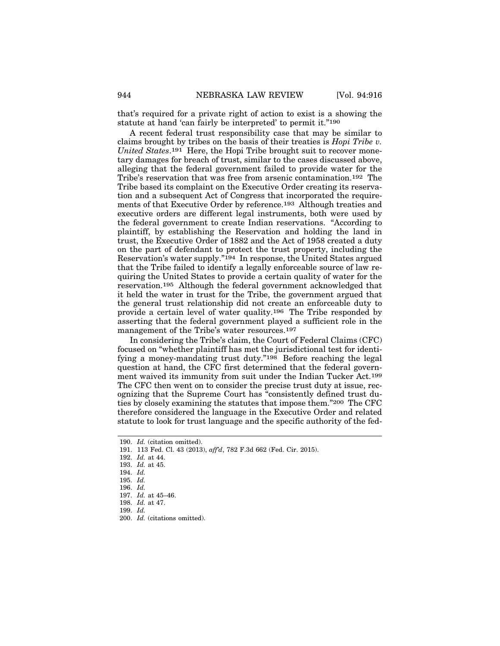that's required for a private right of action to exist is a showing the statute at hand 'can fairly be interpreted' to permit it."190

A recent federal trust responsibility case that may be similar to claims brought by tribes on the basis of their treaties is *Hopi Tribe v. United States*.191 Here, the Hopi Tribe brought suit to recover monetary damages for breach of trust, similar to the cases discussed above, alleging that the federal government failed to provide water for the Tribe's reservation that was free from arsenic contamination.192 The Tribe based its complaint on the Executive Order creating its reservation and a subsequent Act of Congress that incorporated the requirements of that Executive Order by reference.193 Although treaties and executive orders are different legal instruments, both were used by the federal government to create Indian reservations. "According to plaintiff, by establishing the Reservation and holding the land in trust, the Executive Order of 1882 and the Act of 1958 created a duty on the part of defendant to protect the trust property, including the Reservation's water supply."194 In response, the United States argued that the Tribe failed to identify a legally enforceable source of law requiring the United States to provide a certain quality of water for the reservation.195 Although the federal government acknowledged that it held the water in trust for the Tribe, the government argued that the general trust relationship did not create an enforceable duty to provide a certain level of water quality.196 The Tribe responded by asserting that the federal government played a sufficient role in the management of the Tribe's water resources.197

In considering the Tribe's claim, the Court of Federal Claims (CFC) focused on "whether plaintiff has met the jurisdictional test for identifying a money-mandating trust duty."198 Before reaching the legal question at hand, the CFC first determined that the federal government waived its immunity from suit under the Indian Tucker Act.199 The CFC then went on to consider the precise trust duty at issue, recognizing that the Supreme Court has "consistently defined trust duties by closely examining the statutes that impose them."200 The CFC therefore considered the language in the Executive Order and related statute to look for trust language and the specific authority of the fed-

<sup>190.</sup> *Id.* (citation omitted).

<sup>191. 113</sup> Fed. Cl. 43 (2013), *aff'd*, 782 F.3d 662 (Fed. Cir. 2015).

<sup>192.</sup> *Id.* at 44.

<sup>193.</sup> *Id.* at 45.

<sup>194.</sup> *Id.*

<sup>195.</sup> *Id.*

<sup>196.</sup> *Id.*

<sup>197.</sup> *Id.* at 45–46.

<sup>198.</sup> *Id.* at 47.

<sup>199.</sup> *Id.*

<sup>200.</sup> *Id.* (citations omitted).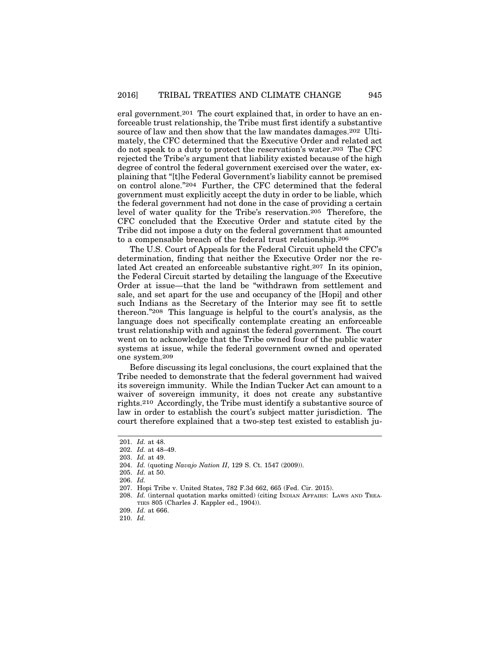eral government.201 The court explained that, in order to have an enforceable trust relationship, the Tribe must first identify a substantive source of law and then show that the law mandates damages.202 Ultimately, the CFC determined that the Executive Order and related act do not speak to a duty to protect the reservation's water.203 The CFC rejected the Tribe's argument that liability existed because of the high degree of control the federal government exercised over the water, explaining that "[t]he Federal Government's liability cannot be premised on control alone."204 Further, the CFC determined that the federal government must explicitly accept the duty in order to be liable, which the federal government had not done in the case of providing a certain level of water quality for the Tribe's reservation.205 Therefore, the CFC concluded that the Executive Order and statute cited by the Tribe did not impose a duty on the federal government that amounted to a compensable breach of the federal trust relationship.206

The U.S. Court of Appeals for the Federal Circuit upheld the CFC's determination, finding that neither the Executive Order nor the related Act created an enforceable substantive right.207 In its opinion, the Federal Circuit started by detailing the language of the Executive Order at issue—that the land be "withdrawn from settlement and sale, and set apart for the use and occupancy of the [Hopi] and other such Indians as the Secretary of the Interior may see fit to settle thereon."208 This language is helpful to the court's analysis, as the language does not specifically contemplate creating an enforceable trust relationship with and against the federal government. The court went on to acknowledge that the Tribe owned four of the public water systems at issue, while the federal government owned and operated one system.209

Before discussing its legal conclusions, the court explained that the Tribe needed to demonstrate that the federal government had waived its sovereign immunity. While the Indian Tucker Act can amount to a waiver of sovereign immunity, it does not create any substantive rights.210 Accordingly, the Tribe must identify a substantive source of law in order to establish the court's subject matter jurisdiction. The court therefore explained that a two-step test existed to establish ju-

<sup>201.</sup> *Id.* at 48.

<sup>202.</sup> *Id.* at 48–49. 203. *Id.* at 49.

<sup>204.</sup> *Id.* (quoting *Navajo Nation II*, 129 S. Ct. 1547 (2009)).

<sup>205.</sup> *Id.* at 50.

<sup>206.</sup> *Id.*

<sup>207.</sup> Hopi Tribe v. United States, 782 F.3d 662, 665 (Fed. Cir. 2015).

<sup>208.</sup> *Id.* (internal quotation marks omitted) (citing INDIAN AFFAIRS: LAWS AND TREA-TIES 805 (Charles J. Kappler ed., 1904)).

<sup>209.</sup> *Id.* at 666.

<sup>210.</sup> *Id.*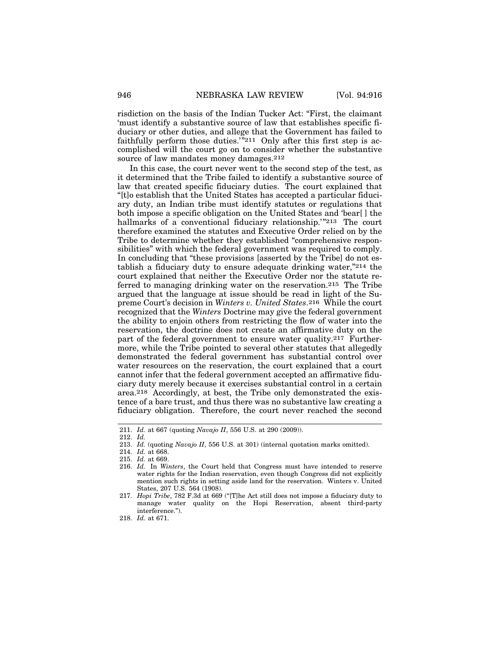risdiction on the basis of the Indian Tucker Act: "First, the claimant 'must identify a substantive source of law that establishes specific fiduciary or other duties, and allege that the Government has failed to faithfully perform those duties.<sup>""211</sup> Only after this first step is accomplished will the court go on to consider whether the substantive source of law mandates money damages.212

In this case, the court never went to the second step of the test, as it determined that the Tribe failed to identify a substantive source of law that created specific fiduciary duties. The court explained that "[t]o establish that the United States has accepted a particular fiduciary duty, an Indian tribe must identify statutes or regulations that both impose a specific obligation on the United States and 'bear[ ] the hallmarks of a conventional fiduciary relationship."<sup>213</sup> The court therefore examined the statutes and Executive Order relied on by the Tribe to determine whether they established "comprehensive responsibilities" with which the federal government was required to comply. In concluding that "these provisions [asserted by the Tribe] do not establish a fiduciary duty to ensure adequate drinking water,"214 the court explained that neither the Executive Order nor the statute referred to managing drinking water on the reservation.215 The Tribe argued that the language at issue should be read in light of the Supreme Court's decision in *Winters v. United States*.216 While the court recognized that the *Winters* Doctrine may give the federal government the ability to enjoin others from restricting the flow of water into the reservation, the doctrine does not create an affirmative duty on the part of the federal government to ensure water quality.217 Furthermore, while the Tribe pointed to several other statutes that allegedly demonstrated the federal government has substantial control over water resources on the reservation, the court explained that a court cannot infer that the federal government accepted an affirmative fiduciary duty merely because it exercises substantial control in a certain area.218 Accordingly, at best, the Tribe only demonstrated the existence of a bare trust, and thus there was no substantive law creating a fiduciary obligation. Therefore, the court never reached the second

<sup>211.</sup> *Id.* at 667 (quoting *Navajo II*, 556 U.S. at 290 (2009)).

<sup>212.</sup> *Id.*

<sup>213.</sup> *Id.* (quoting *Navajo II*, 556 U.S. at 301) (internal quotation marks omitted).

<sup>214.</sup> *Id.* at 668.

<sup>215.</sup> *Id.* at 669.

<sup>216.</sup> *Id.* In *Winters*, the Court held that Congress must have intended to reserve water rights for the Indian reservation, even though Congress did not explicitly mention such rights in setting aside land for the reservation. Winters v. United States, 207 U.S. 564 (1908).

<sup>217.</sup> *Hopi Tribe*, 782 F.3d at 669 ("[T]he Act still does not impose a fiduciary duty to manage water quality on the Hopi Reservation, absent third-party interference.").

<sup>218.</sup> *Id.* at 671.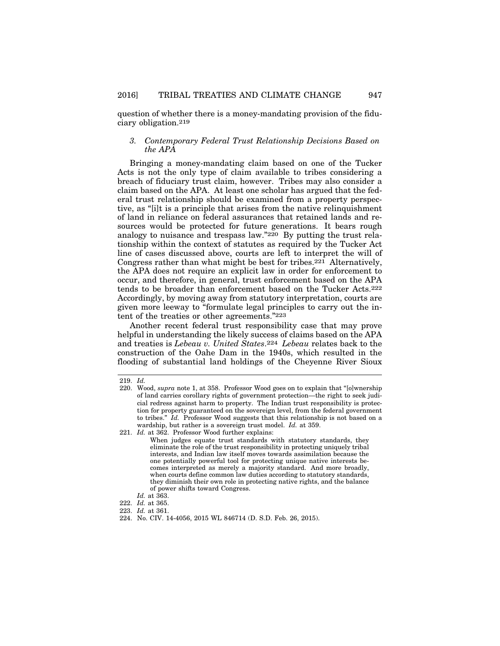question of whether there is a money-mandating provision of the fiduciary obligation.219

# *3. Contemporary Federal Trust Relationship Decisions Based on the APA*

Bringing a money-mandating claim based on one of the Tucker Acts is not the only type of claim available to tribes considering a breach of fiduciary trust claim, however. Tribes may also consider a claim based on the APA. At least one scholar has argued that the federal trust relationship should be examined from a property perspective, as "[i]t is a principle that arises from the native relinquishment of land in reliance on federal assurances that retained lands and resources would be protected for future generations. It bears rough analogy to nuisance and trespass law."220 By putting the trust relationship within the context of statutes as required by the Tucker Act line of cases discussed above, courts are left to interpret the will of Congress rather than what might be best for tribes.<sup>221</sup> Alternatively, the APA does not require an explicit law in order for enforcement to occur, and therefore, in general, trust enforcement based on the APA tends to be broader than enforcement based on the Tucker Acts.222 Accordingly, by moving away from statutory interpretation, courts are given more leeway to "formulate legal principles to carry out the intent of the treaties or other agreements."223

Another recent federal trust responsibility case that may prove helpful in understanding the likely success of claims based on the APA and treaties is *Lebeau v. United States*.224 *Lebeau* relates back to the construction of the Oahe Dam in the 1940s, which resulted in the flooding of substantial land holdings of the Cheyenne River Sioux

<sup>219.</sup> *Id.*

<sup>220.</sup> Wood, *supra* note 1, at 358. Professor Wood goes on to explain that "[o]wnership of land carries corollary rights of government protection—the right to seek judicial redress against harm to property. The Indian trust responsibility is protection for property guaranteed on the sovereign level, from the federal government to tribes." *Id.* Professor Wood suggests that this relationship is not based on a wardship, but rather is a sovereign trust model. *Id.* at 359.

<sup>221.</sup> *Id.* at 362. Professor Wood further explains:

When judges equate trust standards with statutory standards, they eliminate the role of the trust responsibility in protecting uniquely tribal interests, and Indian law itself moves towards assimilation because the one potentially powerful tool for protecting unique native interests becomes interpreted as merely a majority standard. And more broadly, when courts define common law duties according to statutory standards, they diminish their own role in protecting native rights, and the balance of power shifts toward Congress.

*Id.* at 363.

<sup>222.</sup> *Id.* at 365.

<sup>223.</sup> *Id.* at 361.

<sup>224.</sup> No. CIV. 14-4056, 2015 WL 846714 (D. S.D. Feb. 26, 2015).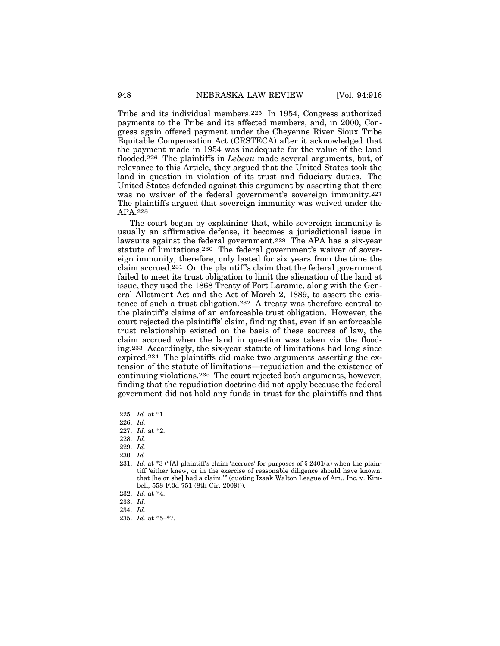Tribe and its individual members.225 In 1954, Congress authorized payments to the Tribe and its affected members, and, in 2000, Congress again offered payment under the Cheyenne River Sioux Tribe Equitable Compensation Act (CRSTECA) after it acknowledged that the payment made in 1954 was inadequate for the value of the land flooded.226 The plaintiffs in *Lebeau* made several arguments, but, of relevance to this Article, they argued that the United States took the land in question in violation of its trust and fiduciary duties. The United States defended against this argument by asserting that there was no waiver of the federal government's sovereign immunity.<sup>227</sup> The plaintiffs argued that sovereign immunity was waived under the APA.228

The court began by explaining that, while sovereign immunity is usually an affirmative defense, it becomes a jurisdictional issue in lawsuits against the federal government.229 The APA has a six-year statute of limitations.230 The federal government's waiver of sovereign immunity, therefore, only lasted for six years from the time the claim accrued.231 On the plaintiff's claim that the federal government failed to meet its trust obligation to limit the alienation of the land at issue, they used the 1868 Treaty of Fort Laramie, along with the General Allotment Act and the Act of March 2, 1889, to assert the existence of such a trust obligation.232 A treaty was therefore central to the plaintiff's claims of an enforceable trust obligation. However, the court rejected the plaintiffs' claim, finding that, even if an enforceable trust relationship existed on the basis of these sources of law, the claim accrued when the land in question was taken via the flooding.233 Accordingly, the six-year statute of limitations had long since expired.234 The plaintiffs did make two arguments asserting the extension of the statute of limitations—repudiation and the existence of continuing violations.235 The court rejected both arguments, however, finding that the repudiation doctrine did not apply because the federal government did not hold any funds in trust for the plaintiffs and that

<sup>225.</sup> *Id.* at \*1.

<sup>226.</sup> *Id.*

<sup>227.</sup> *Id.* at \*2.

<sup>228.</sup> *Id.*

<sup>229.</sup> *Id.*

<sup>230.</sup> *Id.*

<sup>231.</sup> *Id.* at \*3 ("[A] plaintiff's claim 'accrues' for purposes of § 2401(a) when the plaintiff 'either knew, or in the exercise of reasonable diligence should have known, that [he or she] had a claim.'" (quoting Izaak Walton League of Am., Inc. v. Kimbell, 558 F.3d 751 (8th Cir. 2009))).

<sup>232.</sup> *Id.* at \*4.

<sup>233.</sup> *Id.*

<sup>234.</sup> *Id.*

<sup>235.</sup> *Id.* at \*5–\*7.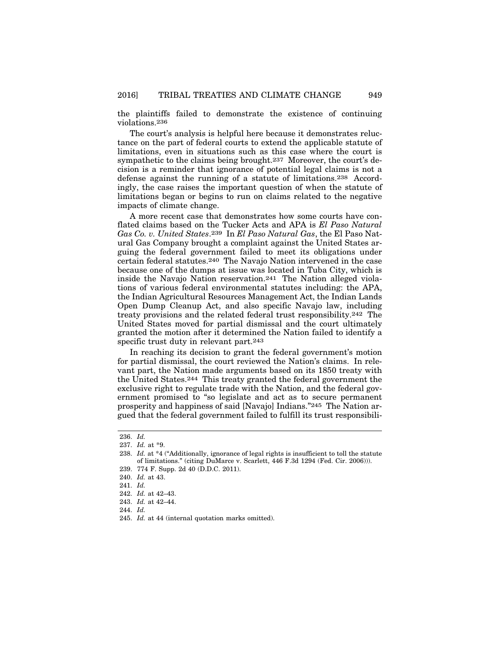the plaintiffs failed to demonstrate the existence of continuing violations.236

The court's analysis is helpful here because it demonstrates reluctance on the part of federal courts to extend the applicable statute of limitations, even in situations such as this case where the court is sympathetic to the claims being brought.237 Moreover, the court's decision is a reminder that ignorance of potential legal claims is not a defense against the running of a statute of limitations.238 Accordingly, the case raises the important question of when the statute of limitations began or begins to run on claims related to the negative impacts of climate change.

A more recent case that demonstrates how some courts have conflated claims based on the Tucker Acts and APA is *El Paso Natural Gas Co. v. United States*.239 In *El Paso Natural Gas*, the El Paso Natural Gas Company brought a complaint against the United States arguing the federal government failed to meet its obligations under certain federal statutes.240 The Navajo Nation intervened in the case because one of the dumps at issue was located in Tuba City, which is inside the Navajo Nation reservation.241 The Nation alleged violations of various federal environmental statutes including: the APA, the Indian Agricultural Resources Management Act, the Indian Lands Open Dump Cleanup Act, and also specific Navajo law, including treaty provisions and the related federal trust responsibility.242 The United States moved for partial dismissal and the court ultimately granted the motion after it determined the Nation failed to identify a specific trust duty in relevant part.243

In reaching its decision to grant the federal government's motion for partial dismissal, the court reviewed the Nation's claims. In relevant part, the Nation made arguments based on its 1850 treaty with the United States.244 This treaty granted the federal government the exclusive right to regulate trade with the Nation, and the federal government promised to "so legislate and act as to secure permanent prosperity and happiness of said [Navajo] Indians."245 The Nation argued that the federal government failed to fulfill its trust responsibili-

<sup>236.</sup> *Id.*

<sup>237.</sup> *Id.* at \*9.

<sup>238.</sup> *Id.* at \*4 ("Additionally, ignorance of legal rights is insufficient to toll the statute of limitations." (citing DuMarce v. Scarlett, 446 F.3d 1294 (Fed. Cir. 2006))).

<sup>239. 774</sup> F. Supp. 2d 40 (D.D.C. 2011).

<sup>240.</sup> *Id.* at 43.

<sup>241.</sup> *Id.*

<sup>242.</sup> *Id.* at 42–43.

<sup>243.</sup> *Id.* at 42–44.

<sup>244.</sup> *Id.*

<sup>245.</sup> *Id.* at 44 (internal quotation marks omitted).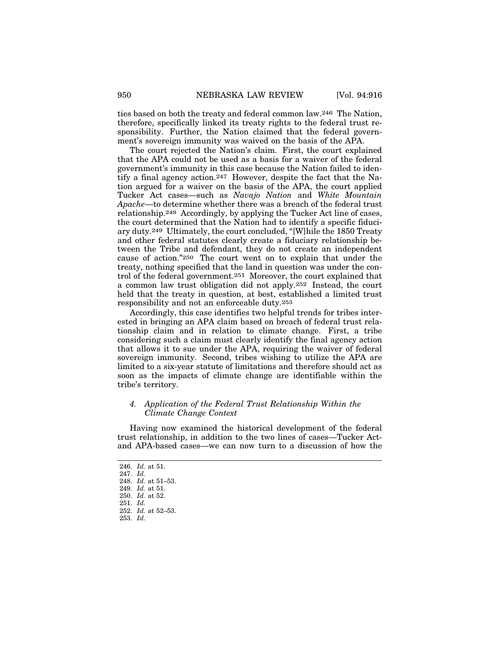ties based on both the treaty and federal common law.246 The Nation, therefore, specifically linked its treaty rights to the federal trust responsibility. Further, the Nation claimed that the federal government's sovereign immunity was waived on the basis of the APA.

The court rejected the Nation's claim. First, the court explained that the APA could not be used as a basis for a waiver of the federal government's immunity in this case because the Nation failed to identify a final agency action.247 However, despite the fact that the Nation argued for a waiver on the basis of the APA, the court applied Tucker Act cases—such as *Navajo Nation* and *White Mountain Apache*—to determine whether there was a breach of the federal trust relationship.248 Accordingly, by applying the Tucker Act line of cases, the court determined that the Nation had to identify a specific fiduciary duty.249 Ultimately, the court concluded, "[W]hile the 1850 Treaty and other federal statutes clearly create a fiduciary relationship between the Tribe and defendant, they do not create an independent cause of action."250 The court went on to explain that under the treaty, nothing specified that the land in question was under the control of the federal government.251 Moreover, the court explained that a common law trust obligation did not apply.252 Instead, the court held that the treaty in question, at best, established a limited trust responsibility and not an enforceable duty.253

Accordingly, this case identifies two helpful trends for tribes interested in bringing an APA claim based on breach of federal trust relationship claim and in relation to climate change. First, a tribe considering such a claim must clearly identify the final agency action that allows it to sue under the APA, requiring the waiver of federal sovereign immunity. Second, tribes wishing to utilize the APA are limited to a six-year statute of limitations and therefore should act as soon as the impacts of climate change are identifiable within the tribe's territory.

#### *4. Application of the Federal Trust Relationship Within the Climate Change Context*

Having now examined the historical development of the federal trust relationship, in addition to the two lines of cases—Tucker Actand APA-based cases—we can now turn to a discussion of how the

<sup>246.</sup> *Id.* at 51. 247. *Id.* 248. *Id.* at 51–53. 249. *Id.* at 51. 250. *Id.* at 52. 251. *Id.* 252. *Id.* at 52–53. 253. *Id.*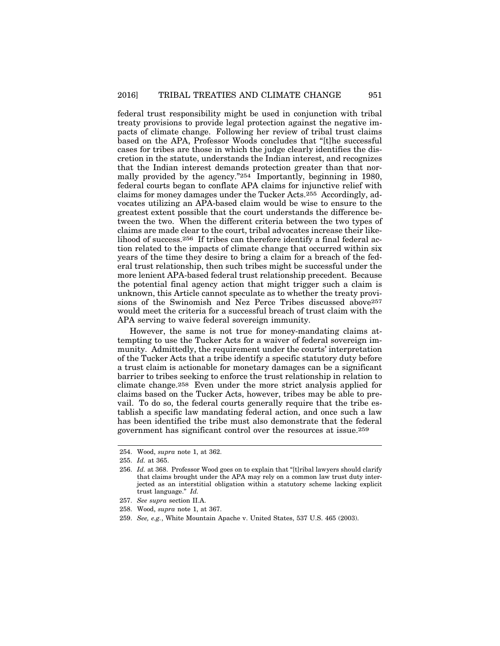federal trust responsibility might be used in conjunction with tribal treaty provisions to provide legal protection against the negative impacts of climate change. Following her review of tribal trust claims based on the APA, Professor Woods concludes that "[t]he successful cases for tribes are those in which the judge clearly identifies the discretion in the statute, understands the Indian interest, and recognizes that the Indian interest demands protection greater than that normally provided by the agency."254 Importantly, beginning in 1980, federal courts began to conflate APA claims for injunctive relief with claims for money damages under the Tucker Acts.255 Accordingly, advocates utilizing an APA-based claim would be wise to ensure to the greatest extent possible that the court understands the difference between the two. When the different criteria between the two types of claims are made clear to the court, tribal advocates increase their likelihood of success.256 If tribes can therefore identify a final federal action related to the impacts of climate change that occurred within six years of the time they desire to bring a claim for a breach of the federal trust relationship, then such tribes might be successful under the more lenient APA-based federal trust relationship precedent. Because the potential final agency action that might trigger such a claim is unknown, this Article cannot speculate as to whether the treaty provisions of the Swinomish and Nez Perce Tribes discussed above257 would meet the criteria for a successful breach of trust claim with the APA serving to waive federal sovereign immunity.

However, the same is not true for money-mandating claims attempting to use the Tucker Acts for a waiver of federal sovereign immunity. Admittedly, the requirement under the courts' interpretation of the Tucker Acts that a tribe identify a specific statutory duty before a trust claim is actionable for monetary damages can be a significant barrier to tribes seeking to enforce the trust relationship in relation to climate change.258 Even under the more strict analysis applied for claims based on the Tucker Acts, however, tribes may be able to prevail. To do so, the federal courts generally require that the tribe establish a specific law mandating federal action, and once such a law has been identified the tribe must also demonstrate that the federal government has significant control over the resources at issue.259

<sup>254.</sup> Wood, *supra* note 1, at 362.

<sup>255.</sup> *Id.* at 365.

<sup>256.</sup> *Id.* at 368. Professor Wood goes on to explain that "[t]ribal lawyers should clarify that claims brought under the APA may rely on a common law trust duty interjected as an interstitial obligation within a statutory scheme lacking explicit trust language." *Id.*

<sup>257.</sup> *See supra* section II.A.

<sup>258.</sup> Wood, *supra* note 1, at 367.

<sup>259.</sup> *See, e.g.*, White Mountain Apache v. United States, 537 U.S. 465 (2003).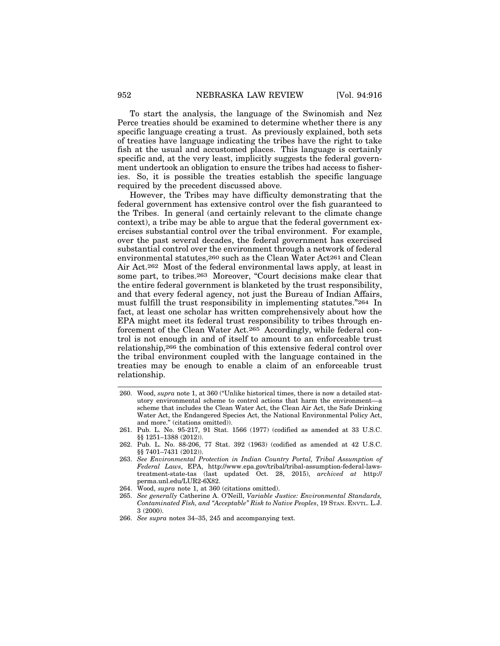To start the analysis, the language of the Swinomish and Nez Perce treaties should be examined to determine whether there is any specific language creating a trust. As previously explained, both sets of treaties have language indicating the tribes have the right to take fish at the usual and accustomed places. This language is certainly specific and, at the very least, implicitly suggests the federal government undertook an obligation to ensure the tribes had access to fisheries. So, it is possible the treaties establish the specific language required by the precedent discussed above.

However, the Tribes may have difficulty demonstrating that the federal government has extensive control over the fish guaranteed to the Tribes. In general (and certainly relevant to the climate change context), a tribe may be able to argue that the federal government exercises substantial control over the tribal environment. For example, over the past several decades, the federal government has exercised substantial control over the environment through a network of federal environmental statutes,<sup>260</sup> such as the Clean Water Act<sup>261</sup> and Clean Air Act.262 Most of the federal environmental laws apply, at least in some part, to tribes.263 Moreover, "Court decisions make clear that the entire federal government is blanketed by the trust responsibility, and that every federal agency, not just the Bureau of Indian Affairs, must fulfill the trust responsibility in implementing statutes."264 In fact, at least one scholar has written comprehensively about how the EPA might meet its federal trust responsibility to tribes through enforcement of the Clean Water Act.265 Accordingly, while federal control is not enough in and of itself to amount to an enforceable trust relationship,266 the combination of this extensive federal control over the tribal environment coupled with the language contained in the treaties may be enough to enable a claim of an enforceable trust relationship.

<sup>260.</sup> Wood, *supra* note 1, at 360 ("Unlike historical times, there is now a detailed statutory environmental scheme to control actions that harm the environment—a scheme that includes the Clean Water Act, the Clean Air Act, the Safe Drinking Water Act, the Endangered Species Act, the National Environmental Policy Act, and more." (citations omitted)).

<sup>261.</sup> Pub. L. No. 95-217, 91 Stat. 1566 (1977) (codified as amended at 33 U.S.C. §§ 1251-1388 (2012)).

<sup>262.</sup> Pub. L. No. 88-206, 77 Stat. 392 (1963) (codified as amended at 42 U.S.C. §§ 7401–7431 (2012)).

<sup>263.</sup> *See Environmental Protection in Indian Country Portal, Tribal Assumption of Federal Laws*, EPA, http://www.epa.gov/tribal/tribal-assumption-federal-lawstreatment-state-tas (last updated Oct. 28, 2015), *archived at* http:// perma.unl.edu/LUR2-6X82.

<sup>264.</sup> Wood, *supra* note 1, at 360 (citations omitted).

<sup>265.</sup> *See generally* Catherine A. O'Neill, *Variable Justice: Environmental Standards, Contaminated Fish, and "Acceptable" Risk to Native Peoples*, 19 STAN. ENVTL. L.J. 3 (2000).

<sup>266.</sup> *See supra* notes 34–35, 245 and accompanying text.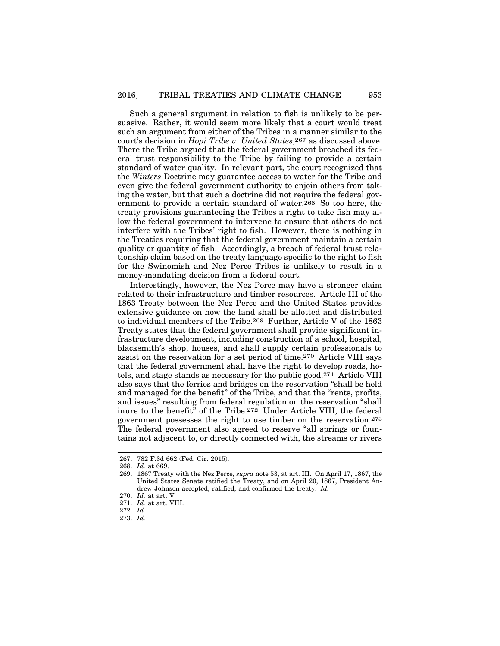Such a general argument in relation to fish is unlikely to be persuasive. Rather, it would seem more likely that a court would treat such an argument from either of the Tribes in a manner similar to the court's decision in *Hopi Tribe v. United States*,<sup>267</sup> as discussed above. There the Tribe argued that the federal government breached its federal trust responsibility to the Tribe by failing to provide a certain standard of water quality. In relevant part, the court recognized that the *Winters* Doctrine may guarantee access to water for the Tribe and even give the federal government authority to enjoin others from taking the water, but that such a doctrine did not require the federal government to provide a certain standard of water.268 So too here, the treaty provisions guaranteeing the Tribes a right to take fish may allow the federal government to intervene to ensure that others do not interfere with the Tribes' right to fish. However, there is nothing in the Treaties requiring that the federal government maintain a certain quality or quantity of fish. Accordingly, a breach of federal trust relationship claim based on the treaty language specific to the right to fish for the Swinomish and Nez Perce Tribes is unlikely to result in a money-mandating decision from a federal court.

Interestingly, however, the Nez Perce may have a stronger claim related to their infrastructure and timber resources. Article III of the 1863 Treaty between the Nez Perce and the United States provides extensive guidance on how the land shall be allotted and distributed to individual members of the Tribe.269 Further, Article V of the 1863 Treaty states that the federal government shall provide significant infrastructure development, including construction of a school, hospital, blacksmith's shop, houses, and shall supply certain professionals to assist on the reservation for a set period of time.270 Article VIII says that the federal government shall have the right to develop roads, hotels, and stage stands as necessary for the public good.271 Article VIII also says that the ferries and bridges on the reservation "shall be held and managed for the benefit" of the Tribe, and that the "rents, profits, and issues" resulting from federal regulation on the reservation "shall inure to the benefit" of the Tribe.272 Under Article VIII, the federal government possesses the right to use timber on the reservation.273 The federal government also agreed to reserve "all springs or fountains not adjacent to, or directly connected with, the streams or rivers

<sup>267. 782</sup> F.3d 662 (Fed. Cir. 2015).

<sup>268.</sup> *Id.* at 669.

<sup>269. 1867</sup> Treaty with the Nez Perce, *supra* note 53, at art. III. On April 17, 1867, the United States Senate ratified the Treaty, and on April 20, 1867, President Andrew Johnson accepted, ratified, and confirmed the treaty. *Id.*

<sup>270.</sup> *Id.* at art. V.

<sup>271.</sup> *Id.* at art. VIII.

<sup>272.</sup> *Id.*

<sup>273.</sup> *Id.*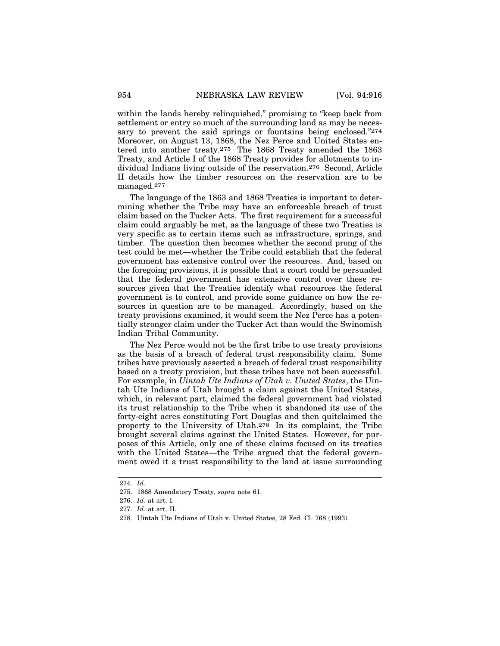within the lands hereby relinquished," promising to "keep back from settlement or entry so much of the surrounding land as may be necessary to prevent the said springs or fountains being enclosed."274 Moreover, on August 13, 1868, the Nez Perce and United States entered into another treaty.275 The 1868 Treaty amended the 1863 Treaty, and Article I of the 1868 Treaty provides for allotments to individual Indians living outside of the reservation.276 Second, Article II details how the timber resources on the reservation are to be managed.277

The language of the 1863 and 1868 Treaties is important to determining whether the Tribe may have an enforceable breach of trust claim based on the Tucker Acts. The first requirement for a successful claim could arguably be met, as the language of these two Treaties is very specific as to certain items such as infrastructure, springs, and timber. The question then becomes whether the second prong of the test could be met—whether the Tribe could establish that the federal government has extensive control over the resources. And, based on the foregoing provisions, it is possible that a court could be persuaded that the federal government has extensive control over these resources given that the Treaties identify what resources the federal government is to control, and provide some guidance on how the resources in question are to be managed. Accordingly, based on the treaty provisions examined, it would seem the Nez Perce has a potentially stronger claim under the Tucker Act than would the Swinomish Indian Tribal Community.

The Nez Perce would not be the first tribe to use treaty provisions as the basis of a breach of federal trust responsibility claim. Some tribes have previously asserted a breach of federal trust responsibility based on a treaty provision, but these tribes have not been successful. For example, in *Uintah Ute Indians of Utah v. United States*, the Uintah Ute Indians of Utah brought a claim against the United States, which, in relevant part, claimed the federal government had violated its trust relationship to the Tribe when it abandoned its use of the forty-eight acres constituting Fort Douglas and then quitclaimed the property to the University of Utah.278 In its complaint, the Tribe brought several claims against the United States. However, for purposes of this Article, only one of these claims focused on its treaties with the United States—the Tribe argued that the federal government owed it a trust responsibility to the land at issue surrounding

<sup>274.</sup> *Id.*

<sup>275. 1868</sup> Amendatory Treaty, *supra* note 61.

<sup>276.</sup> *Id.* at art. I.

<sup>277.</sup> *Id.* at art. II.

<sup>278.</sup> Uintah Ute Indians of Utah v. United States, 28 Fed. Cl. 768 (1993).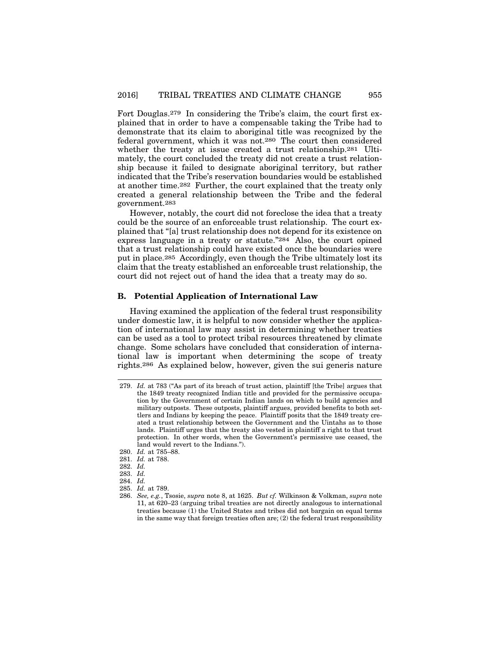Fort Douglas.279 In considering the Tribe's claim, the court first explained that in order to have a compensable taking the Tribe had to demonstrate that its claim to aboriginal title was recognized by the federal government, which it was not.280 The court then considered whether the treaty at issue created a trust relationship.<sup>281</sup> Ultimately, the court concluded the treaty did not create a trust relationship because it failed to designate aboriginal territory, but rather indicated that the Tribe's reservation boundaries would be established at another time.282 Further, the court explained that the treaty only created a general relationship between the Tribe and the federal government.283

However, notably, the court did not foreclose the idea that a treaty could be the source of an enforceable trust relationship. The court explained that "[a] trust relationship does not depend for its existence on express language in a treaty or statute."284 Also, the court opined that a trust relationship could have existed once the boundaries were put in place.285 Accordingly, even though the Tribe ultimately lost its claim that the treaty established an enforceable trust relationship, the court did not reject out of hand the idea that a treaty may do so.

#### **B. Potential Application of International Law**

Having examined the application of the federal trust responsibility under domestic law, it is helpful to now consider whether the application of international law may assist in determining whether treaties can be used as a tool to protect tribal resources threatened by climate change. Some scholars have concluded that consideration of international law is important when determining the scope of treaty rights.286 As explained below, however, given the sui generis nature

<sup>279.</sup> *Id.* at 783 ("As part of its breach of trust action, plaintiff [the Tribe] argues that the 1849 treaty recognized Indian title and provided for the permissive occupation by the Government of certain Indian lands on which to build agencies and military outposts. These outposts, plaintiff argues, provided benefits to both settlers and Indians by keeping the peace. Plaintiff posits that the 1849 treaty created a trust relationship between the Government and the Uintahs as to those lands. Plaintiff urges that the treaty also vested in plaintiff a right to that trust protection. In other words, when the Government's permissive use ceased, the land would revert to the Indians.").

<sup>280.</sup> *Id.* at 785–88.

<sup>281.</sup> *Id.* at 788.

<sup>282.</sup> *Id.*

<sup>283.</sup> *Id.*

<sup>284.</sup> *Id.*

<sup>285.</sup> *Id.* at 789.

<sup>286.</sup> *See, e.g.*, Tsosie, *supra* note 8, at 1625. *But cf.* Wilkinson & Volkman, *supra* note 11, at 620–23 (arguing tribal treaties are not directly analogous to international treaties because (1) the United States and tribes did not bargain on equal terms in the same way that foreign treaties often are; (2) the federal trust responsibility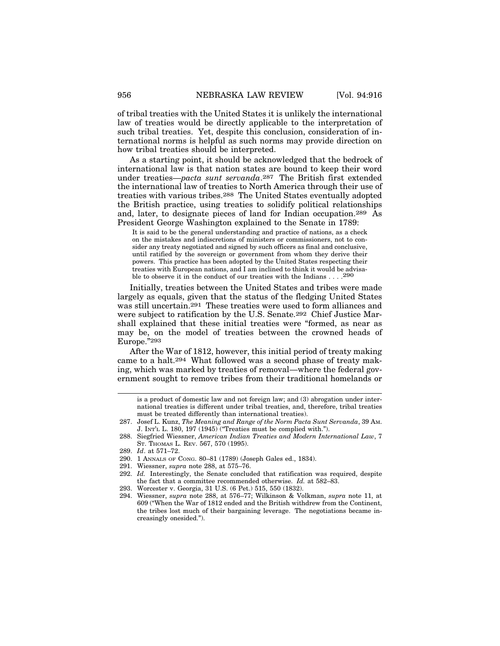of tribal treaties with the United States it is unlikely the international law of treaties would be directly applicable to the interpretation of such tribal treaties. Yet, despite this conclusion, consideration of international norms is helpful as such norms may provide direction on how tribal treaties should be interpreted.

As a starting point, it should be acknowledged that the bedrock of international law is that nation states are bound to keep their word under treaties—*pacta sunt servanda*.287 The British first extended the international law of treaties to North America through their use of treaties with various tribes.288 The United States eventually adopted the British practice, using treaties to solidify political relationships and, later, to designate pieces of land for Indian occupation.289 As President George Washington explained to the Senate in 1789:

It is said to be the general understanding and practice of nations, as a check on the mistakes and indiscretions of ministers or commissioners, not to consider any treaty negotiated and signed by such officers as final and conclusive, until ratified by the sovereign or government from whom they derive their powers. This practice has been adopted by the United States respecting their treaties with European nations, and I am inclined to think it would be advisable to observe it in the conduct of our treaties with the Indians . . . .290

Initially, treaties between the United States and tribes were made largely as equals, given that the status of the fledging United States was still uncertain.291 These treaties were used to form alliances and were subject to ratification by the U.S. Senate.292 Chief Justice Marshall explained that these initial treaties were "formed, as near as may be, on the model of treaties between the crowned heads of Europe."293

After the War of 1812, however, this initial period of treaty making came to a halt.294 What followed was a second phase of treaty making, which was marked by treaties of removal—where the federal government sought to remove tribes from their traditional homelands or

is a product of domestic law and not foreign law; and (3) abrogation under international treaties is different under tribal treaties, and, therefore, tribal treaties must be treated differently than international treaties).

<sup>287.</sup> Josef L. Kunz, *The Meaning and Range of the Norm Pacta Sunt Servanda*, 39 AM. J. INT'L L. 180, 197 (1945) ("Treaties must be complied with.").

<sup>288.</sup> Siegfried Wiessner, *American Indian Treaties and Modern International Law*, 7 ST. THOMAS L. REV. 567, 570 (1995).

<sup>289.</sup> *Id*. at 571–72.

<sup>290. 1</sup> ANNALS OF CONG. 80–81 (1789) (Joseph Gales ed., 1834).

<sup>291.</sup> Wiessner, *supra* note 288, at 575–76.

<sup>292.</sup> *Id.* Interestingly, the Senate concluded that ratification was required, despite the fact that a committee recommended otherwise. *Id.* at 582–83.

<sup>293.</sup> Worcester v. Georgia, 31 U.S. (6 Pet.) 515, 550 (1832).

<sup>294.</sup> Wiessner, *supra* note 288, at 576–77; Wilkinson & Volkman, *supra* note 11, at 609 ("When the War of 1812 ended and the British withdrew from the Continent, the tribes lost much of their bargaining leverage. The negotiations became increasingly onesided.").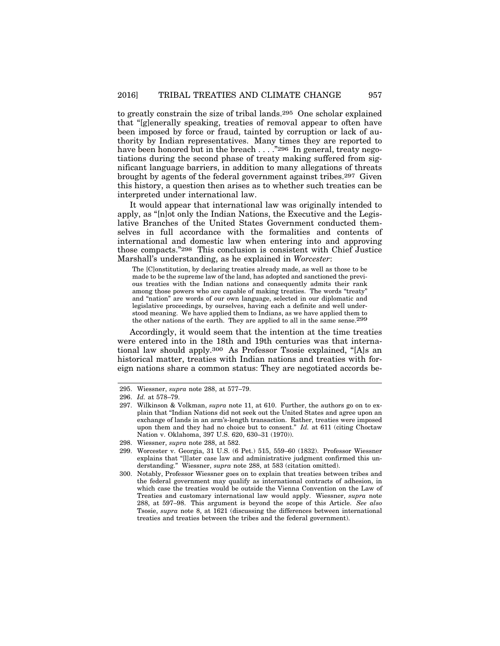to greatly constrain the size of tribal lands.295 One scholar explained that "[g]enerally speaking, treaties of removal appear to often have been imposed by force or fraud, tainted by corruption or lack of authority by Indian representatives. Many times they are reported to have been honored but in the breach . . . . . "296 In general, treaty negotiations during the second phase of treaty making suffered from significant language barriers, in addition to many allegations of threats brought by agents of the federal government against tribes.297 Given this history, a question then arises as to whether such treaties can be interpreted under international law.

It would appear that international law was originally intended to apply, as "[n]ot only the Indian Nations, the Executive and the Legislative Branches of the United States Government conducted themselves in full accordance with the formalities and contents of international and domestic law when entering into and approving those compacts."298 This conclusion is consistent with Chief Justice Marshall's understanding, as he explained in *Worcester*:

The [C]onstitution, by declaring treaties already made, as well as those to be made to be the supreme law of the land, has adopted and sanctioned the previous treaties with the Indian nations and consequently admits their rank among those powers who are capable of making treaties. The words "treaty" and "nation" are words of our own language, selected in our diplomatic and legislative proceedings, by ourselves, having each a definite and well understood meaning. We have applied them to Indians, as we have applied them to the other nations of the earth. They are applied to all in the same sense.299

Accordingly, it would seem that the intention at the time treaties were entered into in the 18th and 19th centuries was that international law should apply.300 As Professor Tsosie explained, "[A]s an historical matter, treaties with Indian nations and treaties with foreign nations share a common status: They are negotiated accords be-

<sup>295.</sup> Wiessner, *supra* note 288, at 577–79.

<sup>296.</sup> *Id.* at 578–79.

<sup>297.</sup> Wilkinson & Volkman, *supra* note 11, at 610. Further, the authors go on to explain that "Indian Nations did not seek out the United States and agree upon an exchange of lands in an arm's-length transaction. Rather, treaties were imposed upon them and they had no choice but to consent." *Id.* at 611 (citing Choctaw Nation v. Oklahoma, 397 U.S. 620, 630–31 (1970)).

<sup>298.</sup> Wiessner, *supra* note 288, at 582.

<sup>299.</sup> Worcester v. Georgia, 31 U.S. (6 Pet.) 515, 559–60 (1832). Professor Wiessner explains that "[l]ater case law and administrative judgment confirmed this understanding." Wiessner, *supra* note 288, at 583 (citation omitted).

<sup>300.</sup> Notably, Professor Wiessner goes on to explain that treaties between tribes and the federal government may qualify as international contracts of adhesion, in which case the treaties would be outside the Vienna Convention on the Law of Treaties and customary international law would apply. Wiessner, *supra* note 288, at 597–98. This argument is beyond the scope of this Article. *See also* Tsosie, *supra* note 8, at 1621 (discussing the differences between international treaties and treaties between the tribes and the federal government).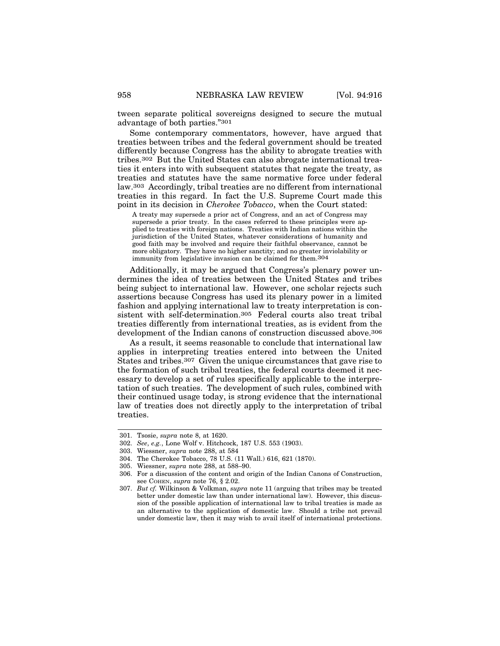tween separate political sovereigns designed to secure the mutual advantage of both parties."301

Some contemporary commentators, however, have argued that treaties between tribes and the federal government should be treated differently because Congress has the ability to abrogate treaties with tribes.302 But the United States can also abrogate international treaties it enters into with subsequent statutes that negate the treaty, as treaties and statutes have the same normative force under federal law.303 Accordingly, tribal treaties are no different from international treaties in this regard. In fact the U.S. Supreme Court made this point in its decision in *Cherokee Tobacco*, when the Court stated:

A treaty may supersede a prior act of Congress, and an act of Congress may supersede a prior treaty. In the cases referred to these principles were applied to treaties with foreign nations. Treaties with Indian nations within the jurisdiction of the United States, whatever considerations of humanity and good faith may be involved and require their faithful observance, cannot be more obligatory. They have no higher sanctity; and no greater inviolability or immunity from legislative invasion can be claimed for them.304

Additionally, it may be argued that Congress's plenary power undermines the idea of treaties between the United States and tribes being subject to international law. However, one scholar rejects such assertions because Congress has used its plenary power in a limited fashion and applying international law to treaty interpretation is consistent with self-determination.305 Federal courts also treat tribal treaties differently from international treaties, as is evident from the development of the Indian canons of construction discussed above.306

As a result, it seems reasonable to conclude that international law applies in interpreting treaties entered into between the United States and tribes.307 Given the unique circumstances that gave rise to the formation of such tribal treaties, the federal courts deemed it necessary to develop a set of rules specifically applicable to the interpretation of such treaties. The development of such rules, combined with their continued usage today, is strong evidence that the international law of treaties does not directly apply to the interpretation of tribal treaties.

<sup>301.</sup> Tsosie, *supra* note 8, at 1620.

<sup>302.</sup> *See*, *e.g.*, Lone Wolf v. Hitchcock, 187 U.S. 553 (1903).

<sup>303.</sup> Wiessner, *supra* note 288, at 584

<sup>304.</sup> The Cherokee Tobacco, 78 U.S. (11 Wall.) 616, 621 (1870).

<sup>305.</sup> Wiessner, *supra* note 288, at 588–90.

<sup>306.</sup> For a discussion of the content and origin of the Indian Canons of Construction, see COHEN, *supra* note 76, § 2.02.

<sup>307.</sup> *But cf.* Wilkinson & Volkman, *supra* note 11 (arguing that tribes may be treated better under domestic law than under international law). However, this discussion of the possible application of international law to tribal treaties is made as an alternative to the application of domestic law. Should a tribe not prevail under domestic law, then it may wish to avail itself of international protections.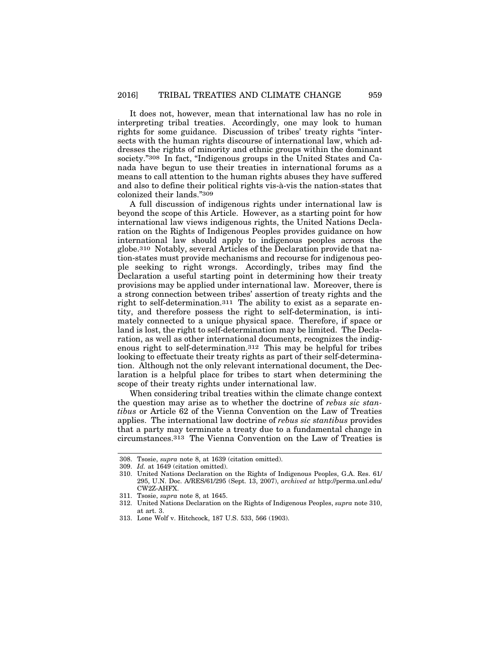It does not, however, mean that international law has no role in interpreting tribal treaties. Accordingly, one may look to human rights for some guidance. Discussion of tribes' treaty rights "intersects with the human rights discourse of international law, which addresses the rights of minority and ethnic groups within the dominant society."308 In fact, "Indigenous groups in the United States and Canada have begun to use their treaties in international forums as a means to call attention to the human rights abuses they have suffered and also to define their political rights vis-à-vis the nation-states that colonized their lands."309

A full discussion of indigenous rights under international law is beyond the scope of this Article. However, as a starting point for how international law views indigenous rights, the United Nations Declaration on the Rights of Indigenous Peoples provides guidance on how international law should apply to indigenous peoples across the globe.310 Notably, several Articles of the Declaration provide that nation-states must provide mechanisms and recourse for indigenous people seeking to right wrongs. Accordingly, tribes may find the Declaration a useful starting point in determining how their treaty provisions may be applied under international law. Moreover, there is a strong connection between tribes' assertion of treaty rights and the right to self-determination.311 The ability to exist as a separate entity, and therefore possess the right to self-determination, is intimately connected to a unique physical space. Therefore, if space or land is lost, the right to self-determination may be limited. The Declaration, as well as other international documents, recognizes the indigenous right to self-determination.312 This may be helpful for tribes looking to effectuate their treaty rights as part of their self-determination. Although not the only relevant international document, the Declaration is a helpful place for tribes to start when determining the scope of their treaty rights under international law.

When considering tribal treaties within the climate change context the question may arise as to whether the doctrine of *rebus sic stantibus* or Article 62 of the Vienna Convention on the Law of Treaties applies. The international law doctrine of *rebus sic stantibus* provides that a party may terminate a treaty due to a fundamental change in circumstances.313 The Vienna Convention on the Law of Treaties is

<sup>308.</sup> Tsosie, *supra* note 8, at 1639 (citation omitted).

<sup>309.</sup> *Id.* at 1649 (citation omitted).

<sup>310.</sup> United Nations Declaration on the Rights of Indigenous Peoples, G.A. Res. 61/ 295, U.N. Doc. A/RES/61/295 (Sept. 13, 2007), *archived at* http://perma.unl.edu/ CW2Z-AHFX.

<sup>311.</sup> Tsosie, *supra* note 8, at 1645.

<sup>312.</sup> United Nations Declaration on the Rights of Indigenous Peoples, *supra* note 310, at art. 3.

<sup>313.</sup> Lone Wolf v. Hitchcock, 187 U.S. 533, 566 (1903).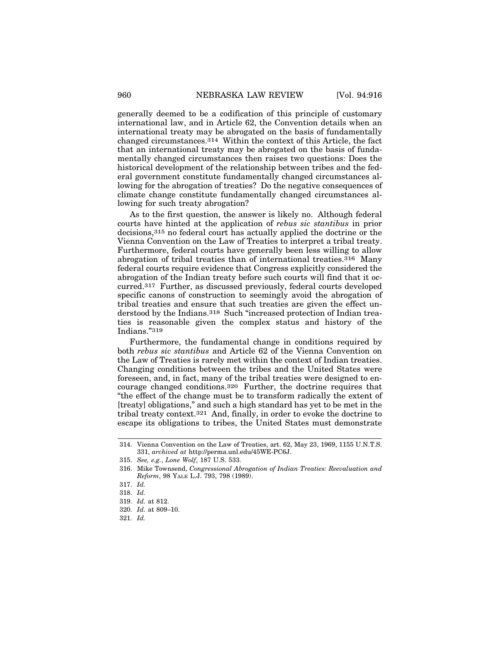generally deemed to be a codification of this principle of customary international law, and in Article 62, the Convention details when an international treaty may be abrogated on the basis of fundamentally changed circumstances.314 Within the context of this Article, the fact that an international treaty may be abrogated on the basis of fundamentally changed circumstances then raises two questions: Does the historical development of the relationship between tribes and the federal government constitute fundamentally changed circumstances allowing for the abrogation of treaties? Do the negative consequences of climate change constitute fundamentally changed circumstances allowing for such treaty abrogation?

As to the first question, the answer is likely no. Although federal courts have hinted at the application of *rebus sic stantibus* in prior decisions,315 no federal court has actually applied the doctrine or the Vienna Convention on the Law of Treaties to interpret a tribal treaty. Furthermore, federal courts have generally been less willing to allow abrogation of tribal treaties than of international treaties.316 Many federal courts require evidence that Congress explicitly considered the abrogation of the Indian treaty before such courts will find that it occurred.317 Further, as discussed previously, federal courts developed specific canons of construction to seemingly avoid the abrogation of tribal treaties and ensure that such treaties are given the effect understood by the Indians.318 Such "increased protection of Indian treaties is reasonable given the complex status and history of the Indians."319

Furthermore, the fundamental change in conditions required by both *rebus sic stantibus* and Article 62 of the Vienna Convention on the Law of Treaties is rarely met within the context of Indian treaties. Changing conditions between the tribes and the United States were foreseen, and, in fact, many of the tribal treaties were designed to encourage changed conditions.320 Further, the doctrine requires that "the effect of the change must be to transform radically the extent of [treaty] obligations," and such a high standard has yet to be met in the tribal treaty context.321 And, finally, in order to evoke the doctrine to escape its obligations to tribes, the United States must demonstrate

<sup>314.</sup> Vienna Convention on the Law of Treaties, art. 62, May 23, 1969, 1155 U.N.T.S. 331, *archived at* http://perma.unl.edu/45WE-PC6J.

<sup>315.</sup> *See, e.g.*, *Lone Wolf*, 187 U.S. 533.

<sup>316.</sup> Mike Townsend, *Congressional Abrogation of Indian Treaties: Reevaluation and Reform*, 98 YALE L.J. 793, 798 (1989).

<sup>317.</sup> *Id.*

<sup>318.</sup> *Id.*

<sup>319.</sup> *Id.* at 812.

<sup>320.</sup> *Id.* at 809–10.

<sup>321.</sup> *Id.*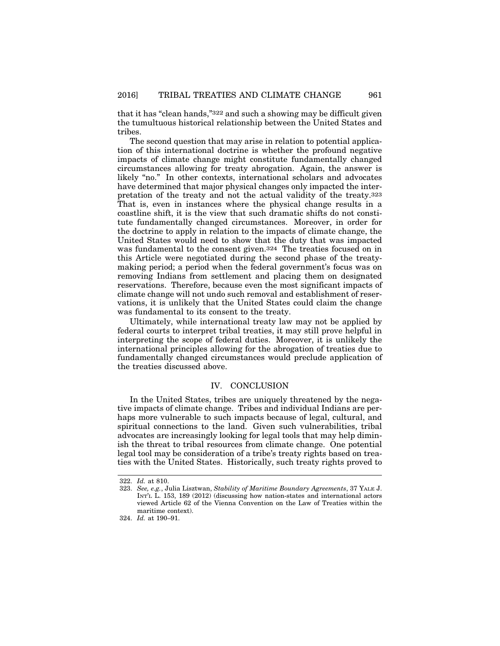that it has "clean hands,"322 and such a showing may be difficult given the tumultuous historical relationship between the United States and tribes.

The second question that may arise in relation to potential application of this international doctrine is whether the profound negative impacts of climate change might constitute fundamentally changed circumstances allowing for treaty abrogation. Again, the answer is likely "no." In other contexts, international scholars and advocates have determined that major physical changes only impacted the interpretation of the treaty and not the actual validity of the treaty.323 That is, even in instances where the physical change results in a coastline shift, it is the view that such dramatic shifts do not constitute fundamentally changed circumstances. Moreover, in order for the doctrine to apply in relation to the impacts of climate change, the United States would need to show that the duty that was impacted was fundamental to the consent given.324 The treaties focused on in this Article were negotiated during the second phase of the treatymaking period; a period when the federal government's focus was on removing Indians from settlement and placing them on designated reservations. Therefore, because even the most significant impacts of climate change will not undo such removal and establishment of reservations, it is unlikely that the United States could claim the change was fundamental to its consent to the treaty.

Ultimately, while international treaty law may not be applied by federal courts to interpret tribal treaties, it may still prove helpful in interpreting the scope of federal duties. Moreover, it is unlikely the international principles allowing for the abrogation of treaties due to fundamentally changed circumstances would preclude application of the treaties discussed above.

#### IV. CONCLUSION

In the United States, tribes are uniquely threatened by the negative impacts of climate change. Tribes and individual Indians are perhaps more vulnerable to such impacts because of legal, cultural, and spiritual connections to the land. Given such vulnerabilities, tribal advocates are increasingly looking for legal tools that may help diminish the threat to tribal resources from climate change. One potential legal tool may be consideration of a tribe's treaty rights based on treaties with the United States. Historically, such treaty rights proved to

<sup>322.</sup> *Id.* at 810.

<sup>323.</sup> *See, e.g.*, Julia Lisztwan, *Stability of Maritime Boundary Agreements*, 37 YALE J. INT'L L. 153, 189 (2012) (discussing how nation-states and international actors viewed Article 62 of the Vienna Convention on the Law of Treaties within the maritime context).

<sup>324.</sup> *Id.* at 190–91.